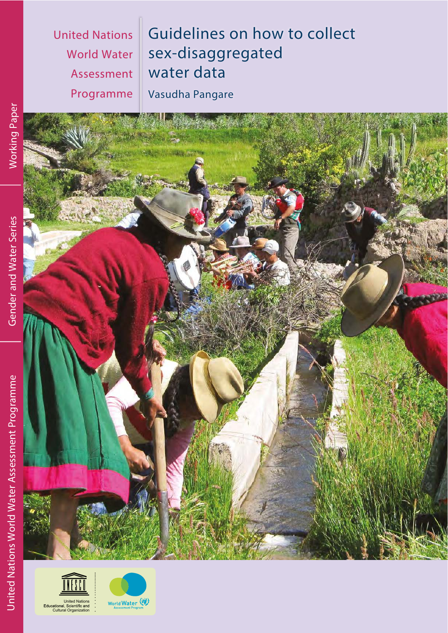**United Nations World Water** Assessment Programme Guidelines on how to collect sex-disaggregated water data

Vasudha Pangare





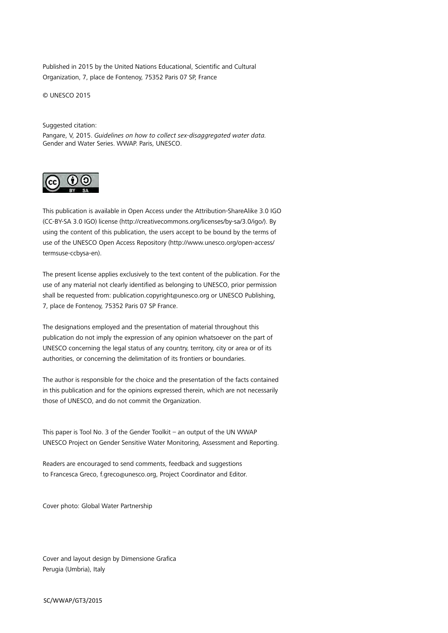Published in 2015 by the United Nations Educational, Scientific and Cultural Organization, 7, place de Fontenoy, 75352 Paris 07 SP, France

© UNESCO 2015

Suggested citation:

Pangare, V, 2015. *Guidelines on how to collect sex-disaggregated water data.* Gender and Water Series. WWAP. Paris, UNESCO.



This publication is available in Open Access under the Attribution-ShareAlike 3.0 IGO (CC-BY-SA 3.0 IGO) license [\(http://creativecommons.org/licenses/by-sa/3.0/igo/\). By](http://creativecommons.org/licenses/by-sa/3.0/igo/) using the content of this publication, the users accept to be bound by the terms of use of the UNESCO Open Access Repository [\(http://www.unesco.org/open-access/](http://www.unesco.org/open-access/termsuse-ccbysa-en) [termsuse-ccbysa-en\).](http://www.unesco.org/open-access/termsuse-ccbysa-en)

The present license applies exclusively to the text content of the publication. For the use of any material not clearly identified as belonging to UNESCO, prior permission shall be requested from: [publication.copyright@unesco.org or](mailto:publication.copyright@unesco.org) UNESCO Publishing, 7, place de Fontenoy, 75352 Paris 07 SP France.

The designations employed and the presentation of material throughout this publication do not imply the expression of any opinion whatsoever on the part of UNESCO concerning the legal status of any country, territory, city or area or of its authorities, or concerning the delimitation of its frontiers or boundaries.

The author is responsible for the choice and the presentation of the facts contained in this publication and for the opinions expressed therein, which are not necessarily those of UNESCO, and do not commit the Organization.

This paper is Tool No. 3 of the Gender Toolkit – an output of the UN WWAP UNESCO Project on Gender Sensitive Water Monitoring, Assessment and Reporting.

Readers are encouraged to send comments, feedback and suggestions to Francesca Greco, [f.greco@unesco.org, Pr](mailto:f.greco@unesco.org)oject Coordinator and Editor.

Cover photo: Global Water Partnership

Cover and layout design by Dimensione Grafica Perugia (Umbria), Italy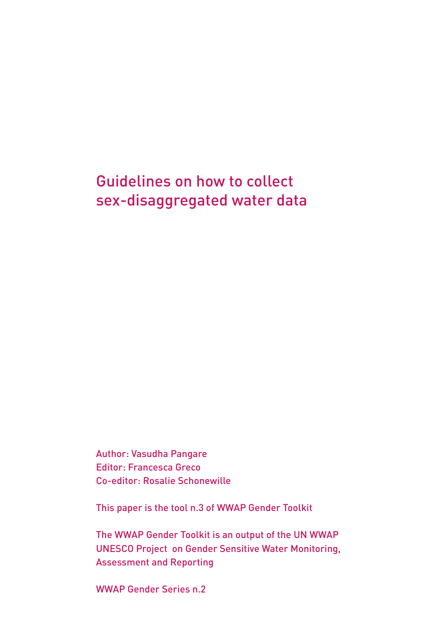Guidelines on how to collect sex-disaggregated water data

Author: Vasudha Pangare Editor: Francesca Greco Co-editor: Rosalie Schonewille

This paper is the tool n.3 of WWAP Gender Toolkit

The WWAP Gender Toolkit is an output of the UN WWAP UNESCO Project on Gender Sensitive Water Monitoring, Assessment and Reporting

WWAP Gender Series n.2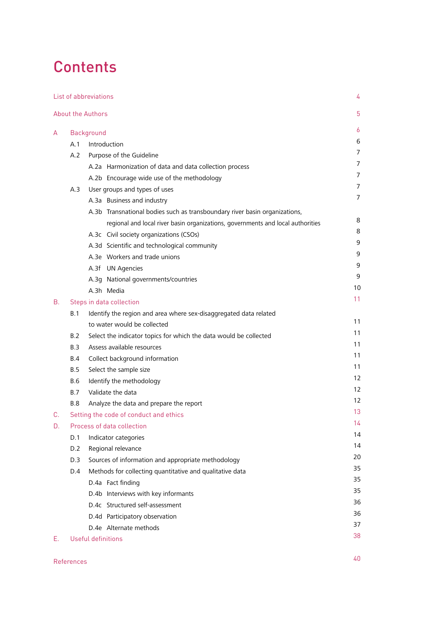# **Contents**

|    |                                 | List of abbreviations                                                           | 4  |
|----|---------------------------------|---------------------------------------------------------------------------------|----|
|    |                                 | <b>About the Authors</b>                                                        | 5  |
| A  |                                 | Background                                                                      | 6  |
|    | A.1                             | Introduction                                                                    | 6  |
|    | Purpose of the Guideline<br>A.2 |                                                                                 | 7  |
|    |                                 | A.2a Harmonization of data and data collection process                          | 7  |
|    |                                 | A.2b Encourage wide use of the methodology                                      | 7  |
|    | A.3                             | User groups and types of uses                                                   | 7  |
|    |                                 | A.3a Business and industry                                                      | 7  |
|    |                                 | A.3b Transnational bodies such as transboundary river basin organizations,      |    |
|    |                                 | regional and local river basin organizations, governments and local authorities | 8  |
|    |                                 | A.3c Civil society organizations (CSOs)                                         | 8  |
|    |                                 | A.3d Scientific and technological community                                     | 9  |
|    |                                 | A.3e Workers and trade unions                                                   | 9  |
|    |                                 | A.3f UN Agencies                                                                | 9  |
|    |                                 | A.3g National governments/countries                                             | 9  |
|    |                                 | A.3h Media                                                                      | 10 |
| В. | Steps in data collection        |                                                                                 | 11 |
|    | B.1                             | Identify the region and area where sex-disaggregated data related               |    |
|    |                                 | to water would be collected                                                     | 11 |
|    | B.2                             | Select the indicator topics for which the data would be collected               | 11 |
|    | B.3                             | Assess available resources                                                      | 11 |
|    | B.4                             | Collect background information                                                  | 11 |
|    | B.5                             | Select the sample size                                                          | 11 |
|    | B.6                             | Identify the methodology                                                        | 12 |
|    | <b>B.7</b>                      | Validate the data                                                               | 12 |
|    | <b>B.8</b>                      | Analyze the data and prepare the report                                         | 12 |
| C. |                                 | Setting the code of conduct and ethics                                          | 13 |
| D. |                                 | Process of data collection                                                      | 14 |
|    | D.1                             | Indicator categories                                                            | 14 |
|    | D.2                             | Regional relevance                                                              | 14 |
|    | D.3                             | Sources of information and appropriate methodology                              | 20 |
|    | D.4                             | Methods for collecting quantitative and qualitative data                        | 35 |
|    |                                 | D.4a Fact finding                                                               | 35 |
|    |                                 | D.4b Interviews with key informants                                             | 35 |
|    |                                 | D.4c Structured self-assessment                                                 | 36 |
|    |                                 | D.4d Participatory observation                                                  | 36 |
|    |                                 | D.4e Alternate methods                                                          | 37 |
| Е. |                                 | Useful definitions                                                              | 38 |
|    |                                 |                                                                                 |    |

#### References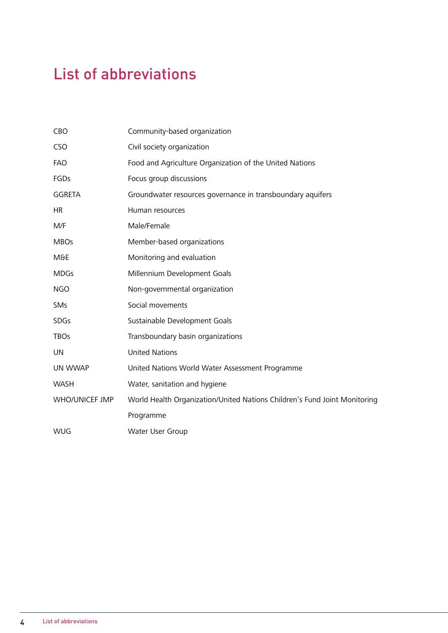# <span id="page-4-0"></span>List of abbreviations

| Community-based organization                                              |
|---------------------------------------------------------------------------|
| Civil society organization                                                |
| Food and Agriculture Organization of the United Nations                   |
| Focus group discussions                                                   |
| Groundwater resources governance in transboundary aquifers                |
| Human resources                                                           |
| Male/Female                                                               |
| Member-based organizations                                                |
| Monitoring and evaluation                                                 |
| Millennium Development Goals                                              |
| Non-governmental organization                                             |
| Social movements                                                          |
| Sustainable Development Goals                                             |
| Transboundary basin organizations                                         |
| <b>United Nations</b>                                                     |
| United Nations World Water Assessment Programme                           |
| Water, sanitation and hygiene                                             |
| World Health Organization/United Nations Children's Fund Joint Monitoring |
| Programme                                                                 |
| Water User Group                                                          |
|                                                                           |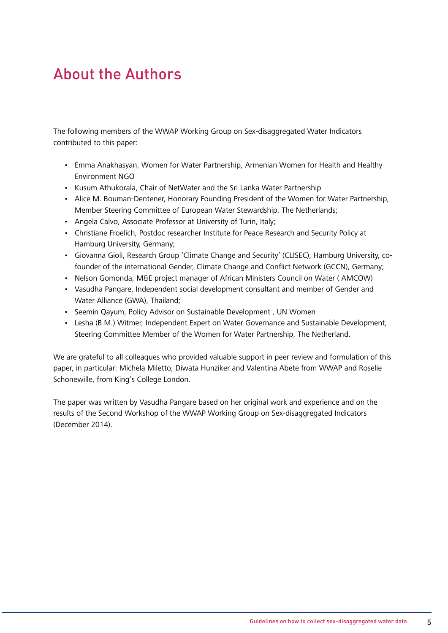## About the Authors

The following members of the WWAP Working Group on Sex-disaggregated Water Indicators contributed to this paper:

- Emma Anakhasyan, Women for Water Partnership, Armenian Women for Health and Healthy Environment NGO
- Kusum Athukorala, Chair of NetWater and the Sri Lanka Water Partnership
- Alice M. Bouman-Dentener, Honorary Founding President of the Women for Water Partnership, Member Steering Committee of European Water Stewardship, The Netherlands;
- Angela Calvo, Associate Professor at University of Turin, Italy;
- Christiane Froelich, Postdoc researcher Institute for Peace Research and Security Policy at Hamburg University, Germany;
- Giovanna Gioli, Research Group 'Climate Change and Security' (CLISEC), Hamburg University, cofounder of the international Gender, Climate Change and Conflict Network (GCCN), Germany;
- Nelson Gomonda, M&E project manager of African Ministers Council on Water ( AMCOW)
- Vasudha Pangare, Independent social development consultant and member of Gender and Water Alliance (GWA), Thailand;
- Seemin Qayum, Policy Advisor on Sustainable Development , UN Women
- Lesha (B.M.) Witmer, Independent Expert on Water Governance and Sustainable Development, Steering Committee Member of the Women for Water Partnership, The Netherland.

We are grateful to all colleagues who provided valuable support in peer review and formulation of this paper, in particular: Michela Miletto, Diwata Hunziker and Valentina Abete from WWAP and Roselie Schonewille, from King's College London.

The paper was written by Vasudha Pangare based on her original work and experience and on the results of the Second Workshop of the WWAP Working Group on Sex-disaggregated Indicators (December 2014).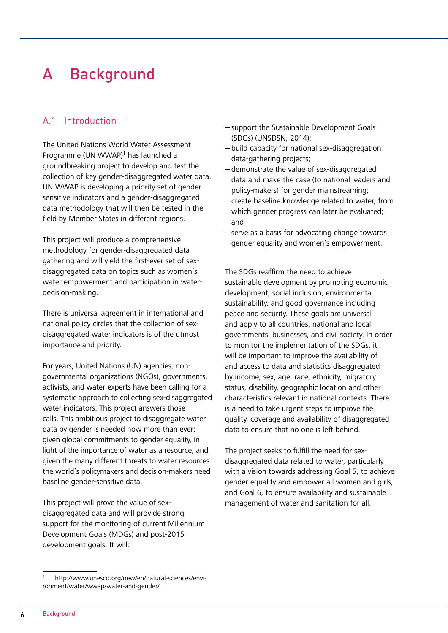# <span id="page-6-0"></span>A Background

## A.1 Introduction

The United Nations World Water Assessment Programme (UN WWAP)<sup>1</sup> has launched a groundbreaking project to develop and test the collection of key gender-disaggregated water data. UN WWAP is developing a priority set of gendersensitive indicators and a gender-disaggregated data methodology that will then be tested in the field by Member States in different regions.

This project will produce a comprehensive methodology for gender-disaggregated data gathering and will yield the first-ever set of sexdisaggregated data on topics such as women's water empowerment and participation in waterdecision-making.

There is universal agreement in international and national policy circles that the collection of sexdisaggregated water indicators is of the utmost importance and priority.

For years, United Nations (UN) agencies, nongovernmental organizations (NGOs), governments, activists, and water experts have been calling for a systematic approach to collecting sex-disaggregated water indicators. This project answers those calls. This ambitious project to disaggregate water data by gender is needed now more than ever: given global commitments to gender equality, in light of the importance of water as a resource, and given the many different threats to water resources the world's policymakers and decision-makers need baseline gender-sensitive data.

This project will prove the value of sexdisaggregated data and will provide strong support for the monitoring of current Millennium Development Goals (MDGs) and post-2015 development goals. It will:

- − support the Sustainable Development Goals (SDGs) (UNSDSN, 2014);
- − build capacity for national sex-disaggregation data-gathering projects;
- − demonstrate the value of sex-disaggregated data and make the case (to national leaders and policy-makers) for gender mainstreaming;
- − create baseline knowledge related to water, from which gender progress can later be evaluated; and
- − serve as a basis for advocating change towards gender equality and women's empowerment.

The SDGs reaffirm the need to achieve sustainable development by promoting economic development, social inclusion, environmental sustainability, and good governance including peace and security. These goals are universal and apply to all countries, national and local governments, businesses, and civil society. In order to monitor the implementation of the SDGs, it will be important to improve the availability of and access to data and statistics disaggregated by income, sex, age, race, ethnicity, migratory status, disability, geographic location and other characteristics relevant in national contexts. There is a need to take urgent steps to improve the quality, coverage and availability of disaggregated data to ensure that no one is left behind.

The project seeks to fulfill the need for sexdisaggregated data related to water, particularly with a vision towards addressing Goal 5, to achieve gender equality and empower all women and girls, and Goal 6, to ensure availability and sustainable management of water and sanitation for all.

http://www.unesco.org/new/en/natural-sciences/environment[/water/wwap/water-and-gender/](http://www.unesco.org/new/en/natural-sciences/envi-ronment/water/wwap/water-and-gender/)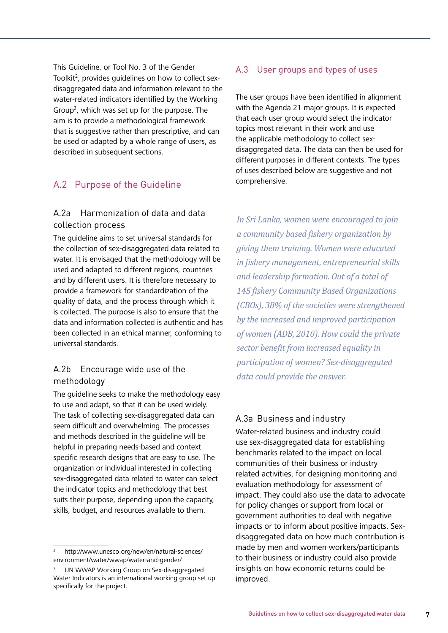This Guideline, or Tool No. 3 of the Gender Toolkit<sup>2</sup>, provides guidelines on how to collect sexdisaggregated data and information relevant to the water-related indicators identified by the Working Group<sup>3</sup>, which was set up for the purpose. The aim is to provide a methodological framework that is suggestive rather than prescriptive, and can be used or adapted by a whole range of users, as described in subsequent sections.

## A.2 Purpose of the Guideline

## A.2a Harmonization of data and data collection process

The guideline aims to set universal standards for the collection of sex-disaggregated data related to water. It is envisaged that the methodology will be used and adapted to different regions, countries and by different users. It is therefore necessary to provide a framework for standardization of the quality of data, and the process through which it is collected. The purpose is also to ensure that the data and information collected is authentic and has been collected in an ethical manner, conforming to universal standards.

## A.2b Encourage wide use of the methodology

The guideline seeks to make the methodology easy to use and adapt, so that it can be used widely. The task of collecting sex-disaggregated data can seem difficult and overwhelming. The processes and methods described in the guideline will be helpful in preparing needs-based and context specific research designs that are easy to use. The organization or individual interested in collecting sex-disaggregated data related to water can select the indicator topics and methodology that best suits their purpose, depending upon the capacity, skills, budget, and resources available to them.

## A.3 User groups and types of uses

The user groups have been identified in alignment with the Agenda 21 major groups. It is expected that each user group would select the indicator topics most relevant in their work and use the applicable methodology to collect sexdisaggregated data. The data can then be used for different purposes in different contexts. The types of uses described below are suggestive and not comprehensive.

*In Sri Lanka, women were encouraged to join a community based fishery organization by giving them training. Women were educated in fishery management, entrepreneurial skills and leadership formation. Out of a total of 145 fishery Community Based Organizations (CBOs), 38% of the societies were strengthened by the increased and improved participation of women (ADB, 2010). How could the private sector benefit from increased equality in participation of women? Sex-disaggregated data could provide the answer.*

## A.3a Business and industry

Water-related business and industry could use sex-disaggregated data for establishing benchmarks related to the impact on local communities of their business or industry related activities, for designing monitoring and evaluation methodology for assessment of impact. They could also use the data to advocate for policy changes or support from local or government authorities to deal with negative impacts or to inform about positive impacts. Sexdisaggregated data on how much contribution is made by men and women workers/participants to their business or industry could also provide insights on how economic returns could be improved.

<sup>2</sup> <http://www.unesco.org/new/en/natural-sciences/> environment/water/wwap/water-and-gender/

<sup>3</sup> UN WWAP Working Group on Sex-disaggregated Water Indicators is an international working group set up specifically for the project.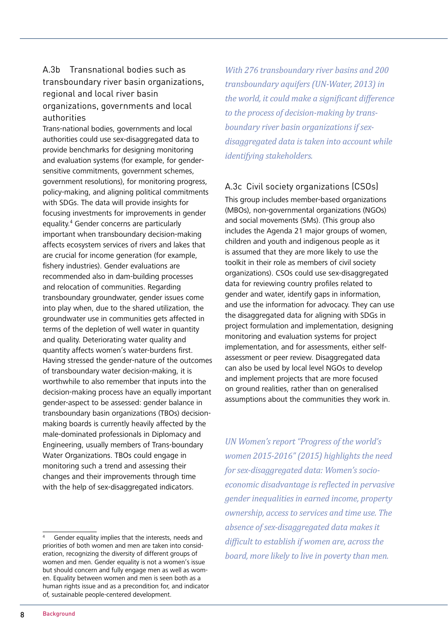## A.3b Transnational bodies such as transboundary river basin organizations, regional and local river basin organizations, governments and local authorities

Trans-national bodies, governments and local authorities could use sex-disaggregated data to provide benchmarks for designing monitoring and evaluation systems (for example, for gendersensitive commitments, government schemes, government resolutions), for monitoring progress, policy-making, and aligning political commitments with SDGs. The data will provide insights for focusing investments for improvements in gender equality.<sup>4</sup> Gender concerns are particularly important when transboundary decision-making affects ecosystem services of rivers and lakes that are crucial for income generation (for example, fishery industries). Gender evaluations are recommended also in dam-building processes and relocation of communities. Regarding transboundary groundwater, gender issues come into play when, due to the shared utilization, the groundwater use in communities gets affected in terms of the depletion of well water in quantity and quality. Deteriorating water quality and quantity affects women's water-burdens first. Having stressed the gender-nature of the outcomes of transboundary water decision-making, it is worthwhile to also remember that inputs into the decision-making process have an equally important gender-aspect to be assessed: gender balance in transboundary basin organizations (TBOs) decisionmaking boards is currently heavily affected by the male-dominated professionals in Diplomacy and Engineering, usually members of Trans-boundary Water Organizations. TBOs could engage in monitoring such a trend and assessing their changes and their improvements through time with the help of sex-disaggregated indicators.

*With 276 transboundary river basins and 200 transboundary aquifers (UN-Water, 2013) in the world, it could make a significant difference to the process of decision-making by transboundary river basin organizations if sexdisaggregated data is taken into account while identifying stakeholders.* 

## A.3c Civil society organizations (CSOs)

This group includes member-based organizations (MBOs), non-governmental organizations (NGOs) and social movements (SMs). (This group also includes the Agenda 21 major groups of women, children and youth and indigenous people as it is assumed that they are more likely to use the toolkit in their role as members of civil society organizations). CSOs could use sex-disaggregated data for reviewing country profiles related to gender and water, identify gaps in information, and use the information for advocacy. They can use the disaggregated data for aligning with SDGs in project formulation and implementation, designing monitoring and evaluation systems for project implementation, and for assessments, either selfassessment or peer review. Disaggregated data can also be used by local level NGOs to develop and implement projects that are more focused on ground realities, rather than on generalised assumptions about the communities they work in.

*UN Women's report "Progress of the world's women 2015-2016" (2015) highlights the need for sex-disaggregated data: Women's socioeconomic disadvantage is reflected in pervasive gender inequalities in earned income, property ownership, access to services and time use. The absence of sex-disaggregated data makes it difficult to establish if women are, across the board, more likely to live in poverty than men.*

<sup>4</sup> Gender equality implies that the interests, needs and priorities of both women and men are taken into consideration, recognizing the diversity of different groups of women and men. Gender equality is not a women's issue but should concern and fully engage men as well as women. Equality between women and men is seen both as a human rights issue and as a precondition for, and indicator of, sustainable people-centered development.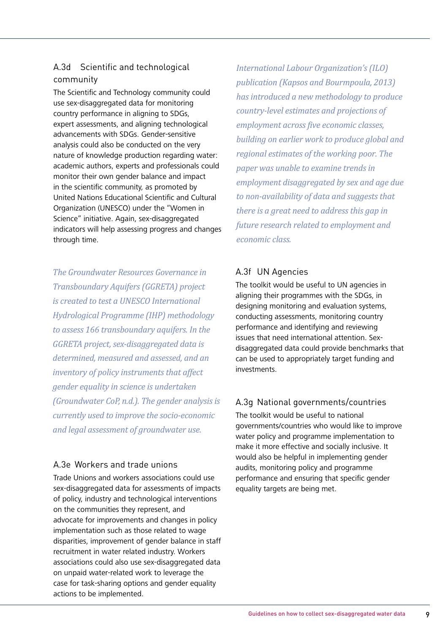## A.3d Scientific and technological community

The Scientific and Technology community could use sex-disaggregated data for monitoring country performance in aligning to SDGs, expert assessments, and aligning technological advancements with SDGs. Gender-sensitive analysis could also be conducted on the very nature of knowledge production regarding water: academic authors, experts and professionals could monitor their own gender balance and impact in the scientific community, as promoted by United Nations Educational Scientific and Cultural Organization (UNESCO) under the "Women in Science" initiative. Again, sex-disaggregated indicators will help assessing progress and changes through time.

*The Groundwater Resources Governance in Transboundary Aquifers (GGRETA) project is created to test a UNESCO International Hydrological Programme (IHP) methodology to assess 166 transboundary aquifers. In the GGRETA project, sex-disaggregated data is determined, measured and assessed, and an inventory of policy instruments that affect gender equality in science is undertaken (Groundwater CoP, n.d.). The gender analysis is currently used to improve the socio-economic and legal assessment of groundwater use.*

## A.3e Workers and trade unions

Trade Unions and workers associations could use sex-disaggregated data for assessments of impacts of policy, industry and technological interventions on the communities they represent, and advocate for improvements and changes in policy implementation such as those related to wage disparities, improvement of gender balance in staff recruitment in water related industry. Workers associations could also use sex-disaggregated data on unpaid water-related work to leverage the case for task-sharing options and gender equality actions to be implemented.

*International Labour Organization's (ILO) publication (Kapsos and Bourmpoula, 2013) has introduced a new methodology to produce country-level estimates and projections of employment across five economic classes, building on earlier work to produce global and regional estimates of the working poor. The paper was unable to examine trends in employment disaggregated by sex and age due to non-availability of data and suggests that there is a great need to address this gap in future research related to employment and economic class.*

## A.3f UN Agencies

The toolkit would be useful to UN agencies in aligning their programmes with the SDGs, in designing monitoring and evaluation systems, conducting assessments, monitoring country performance and identifying and reviewing issues that need international attention. Sexdisaggregated data could provide benchmarks that can be used to appropriately target funding and investments.

## A.3g National governments/countries

The toolkit would be useful to national governments/countries who would like to improve water policy and programme implementation to make it more effective and socially inclusive. It would also be helpful in implementing gender audits, monitoring policy and programme performance and ensuring that specific gender equality targets are being met.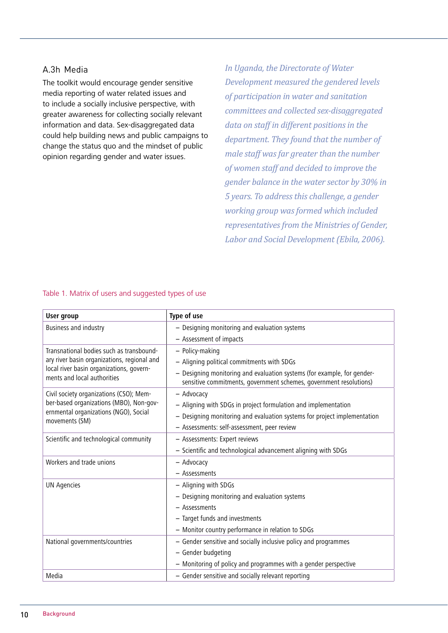### A.3h Media

The toolkit would encourage gender sensitive media reporting of water related issues and to include a socially inclusive perspective, with greater awareness for collecting socially relevant information and data. Sex-disaggregated data could help building news and public campaigns to change the status quo and the mindset of public opinion regarding gender and water issues.

*In Uganda, the Directorate of Water Development measured the gendered levels of participation in water and sanitation committees and collected sex-disaggregated data on staff in different positions in the department. They found that the number of male staff was far greater than the number of women staff and decided to improve the gender balance in the water sector by 30% in 5 years. To address this challenge, a gender working group was formed which included representatives from the Ministries of Gender, Labor and Social Development (Ebila, 2006).*

| <b>User group</b>                                                       | Type of use                                                                                                                                   |  |  |
|-------------------------------------------------------------------------|-----------------------------------------------------------------------------------------------------------------------------------------------|--|--|
| Business and industry                                                   | - Designing monitoring and evaluation systems                                                                                                 |  |  |
|                                                                         | - Assessment of impacts                                                                                                                       |  |  |
| Transnational bodies such as transbound-                                | - Policy-making                                                                                                                               |  |  |
| ary river basin organizations, regional and                             | - Aligning political commitments with SDGs                                                                                                    |  |  |
| local river basin organizations, govern-<br>ments and local authorities | - Designing monitoring and evaluation systems (for example, for gender-<br>sensitive commitments, government schemes, government resolutions) |  |  |
| Civil society organizations (CSO); Mem-                                 | - Advocacy                                                                                                                                    |  |  |
| ber-based organizations (MBO), Non-gov-                                 | - Aligning with SDGs in project formulation and implementation                                                                                |  |  |
| ernmental organizations (NGO), Social<br>movements (SM)                 | - Designing monitoring and evaluation systems for project implementation                                                                      |  |  |
|                                                                         | - Assessments: self-assessment, peer review                                                                                                   |  |  |
| Scientific and technological community                                  | - Assessments: Expert reviews                                                                                                                 |  |  |
|                                                                         | - Scientific and technological advancement aligning with SDGs                                                                                 |  |  |
| Workers and trade unions                                                | - Advocacy                                                                                                                                    |  |  |
|                                                                         | - Assessments                                                                                                                                 |  |  |
| <b>UN Agencies</b>                                                      | - Aligning with SDGs                                                                                                                          |  |  |
|                                                                         | - Designing monitoring and evaluation systems                                                                                                 |  |  |
|                                                                         | - Assessments                                                                                                                                 |  |  |
|                                                                         | - Target funds and investments                                                                                                                |  |  |
|                                                                         | - Monitor country performance in relation to SDGs                                                                                             |  |  |
| National governments/countries                                          | - Gender sensitive and socially inclusive policy and programmes                                                                               |  |  |
|                                                                         | - Gender budgeting                                                                                                                            |  |  |
|                                                                         | - Monitoring of policy and programmes with a gender perspective                                                                               |  |  |
| Media                                                                   | - Gender sensitive and socially relevant reporting                                                                                            |  |  |

#### Table 1. Matrix of users and suggested types of use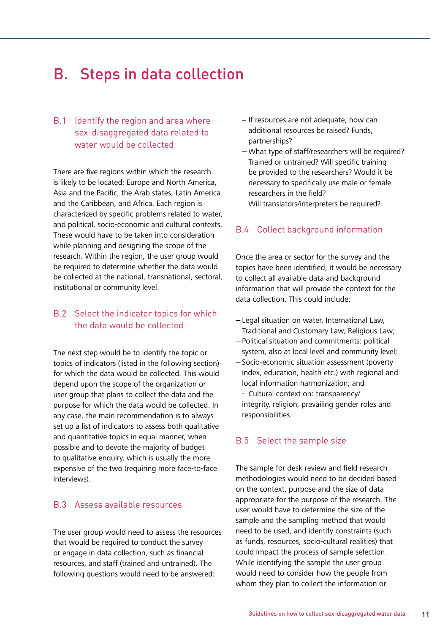## <span id="page-11-0"></span>B. Steps in data collection

## B.1 Identify the region and area where sex-disaggregated data related to water would be collected

There are five regions within which the research is likely to be located; Europe and North America, Asia and the Pacific, the Arab states, Latin America and the Caribbean, and Africa. Each region is characterized by specific problems related to water, and political, socio-economic and cultural contexts. These would have to be taken into consideration while planning and designing the scope of the research. Within the region, the user group would be required to determine whether the data would be collected at the national, transnational, sectoral, institutional or community level.

## B.2 Select the indicator topics for which the data would be collected

The next step would be to identify the topic or topics of indicators (listed in the following section) for which the data would be collected. This would depend upon the scope of the organization or user group that plans to collect the data and the purpose for which the data would be collected. In any case, the main recommendation is to always set up a list of indicators to assess both qualitative and quantitative topics in equal manner, when possible and to devote the majority of budget to qualitative enquiry, which is usually the more expensive of the two (requiring more face-to-face interviews).

### B.3 Assess available resources

The user group would need to assess the resources that would be required to conduct the survey or engage in data collection, such as financial resources, and staff (trained and untrained). The following questions would need to be answered:

- − If resources are not adequate, how can additional resources be raised? Funds, partnerships?
- − What type of staff/researchers will be required? Trained or untrained? Will specific training be provided to the researchers? Would it be necessary to specifically use male or female researchers in the field?
- − Will translators/interpreters be required?

## B.4 Collect background information

Once the area or sector for the survey and the topics have been identified, it would be necessary to collect all available data and background information that will provide the context for the data collection. This could include:

- − Legal situation on water, International Law, Traditional and Customary Law, Religious Law;
- − Political situation and commitments: political system, also at local level and community level;
- − Socio-economic situation assessment (poverty index, education, health etc.) with regional and local information harmonization; and
- − Cultural context on: transparency/ integrity, religion, prevailing gender roles and responsibilities.

### B.5 Select the sample size

The sample for desk review and field research methodologies would need to be decided based on the context, purpose and the size of data appropriate for the purpose of the research. The user would have to determine the size of the sample and the sampling method that would need to be used, and identify constraints (such as funds, resources, socio-cultural realities) that could impact the process of sample selection. While identifying the sample the user group would need to consider how the people from whom they plan to collect the information or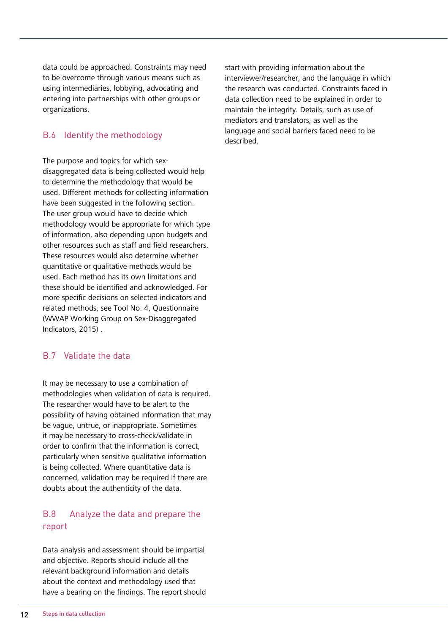data could be approached. Constraints may need to be overcome through various means such as using intermediaries, lobbying, advocating and entering into partnerships with other groups or organizations.

## B.6 Identify the methodology

The purpose and topics for which sexdisaggregated data is being collected would help to determine the methodology that would be used. Different methods for collecting information have been suggested in the following section. The user group would have to decide which methodology would be appropriate for which type of information, also depending upon budgets and other resources such as staff and field researchers. These resources would also determine whether quantitative or qualitative methods would be used. Each method has its own limitations and these should be identified and acknowledged. For more specific decisions on selected indicators and related methods, see Tool No. 4, Questionnaire (WWAP Working Group on Sex-Disaggregated Indicators, 2015) .

### B.7 Validate the data

It may be necessary to use a combination of methodologies when validation of data is required. The researcher would have to be alert to the possibility of having obtained information that may be vague, untrue, or inappropriate. Sometimes it may be necessary to cross-check/validate in order to confirm that the information is correct, particularly when sensitive qualitative information is being collected. Where quantitative data is concerned, validation may be required if there are doubts about the authenticity of the data.

### B.8 Analyze the data and prepare the report

Data analysis and assessment should be impartial and objective. Reports should include all the relevant background information and details about the context and methodology used that have a bearing on the findings. The report should start with providing information about the interviewer/researcher, and the language in which the research was conducted. Constraints faced in data collection need to be explained in order to maintain the integrity. Details, such as use of mediators and translators, as well as the language and social barriers faced need to be described.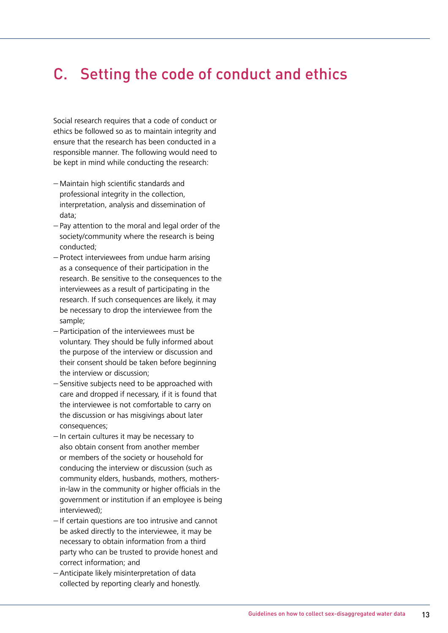## <span id="page-13-0"></span>C. Setting the code of conduct and ethics

Social research requires that a code of conduct or ethics be followed so as to maintain integrity and ensure that the research has been conducted in a responsible manner. The following would need to be kept in mind while conducting the research:

- − Maintain high scientific standards and professional integrity in the collection, interpretation, analysis and dissemination of data;
- − Pay attention to the moral and legal order of the society/community where the research is being conducted;
- − Protect interviewees from undue harm arising as a consequence of their participation in the research. Be sensitive to the consequences to the interviewees as a result of participating in the research. If such consequences are likely, it may be necessary to drop the interviewee from the sample;
- − Participation of the interviewees must be voluntary. They should be fully informed about the purpose of the interview or discussion and their consent should be taken before beginning the interview or discussion;
- − Sensitive subjects need to be approached with care and dropped if necessary, if it is found that the interviewee is not comfortable to carry on the discussion or has misgivings about later consequences;
- − In certain cultures it may be necessary to also obtain consent from another member or members of the society or household for conducing the interview or discussion (such as community elders, husbands, mothers, mothersin-law in the community or higher officials in the government or institution if an employee is being interviewed);
- − If certain questions are too intrusive and cannot be asked directly to the interviewee, it may be necessary to obtain information from a third party who can be trusted to provide honest and correct information; and
- − Anticipate likely misinterpretation of data collected by reporting clearly and honestly.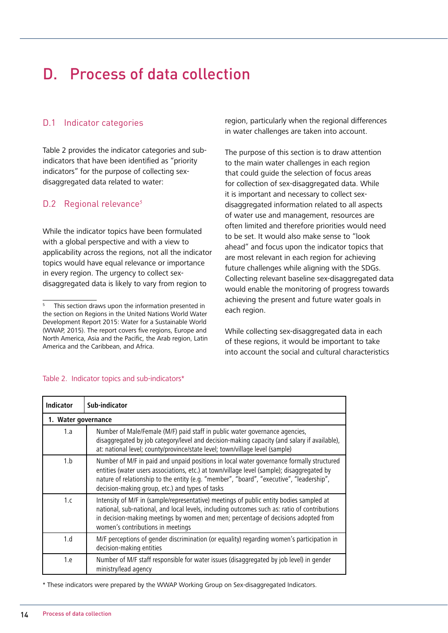## <span id="page-14-0"></span>D. Process of data collection

## D.1 Indicator categories

Table 2 provides the indicator categories and subindicators that have been identified as "priority indicators" for the purpose of collecting sexdisaggregated data related to water:

## D.2 Regional relevance<sup>5</sup>

While the indicator topics have been formulated with a global perspective and with a view to applicability across the regions, not all the indicator topics would have equal relevance or importance in every region. The urgency to collect sexdisaggregated data is likely to vary from region to

region, particularly when the regional differences in water challenges are taken into account.

The purpose of this section is to draw attention to the main water challenges in each region that could guide the selection of focus areas for collection of sex-disaggregated data. While it is important and necessary to collect sexdisaggregated information related to all aspects of water use and management, resources are often limited and therefore priorities would need to be set. It would also make sense to "look ahead" and focus upon the indicator topics that are most relevant in each region for achieving future challenges while aligning with the SDGs. Collecting relevant baseline sex-disaggregated data would enable the monitoring of progress towards achieving the present and future water goals in each region.

While collecting sex-disaggregated data in each of these regions, it would be important to take into account the social and cultural characteristics

| <b>Indicator</b> | Sub-indicator                                                                                                                                                                                                                                                                                                                         |  |  |  |
|------------------|---------------------------------------------------------------------------------------------------------------------------------------------------------------------------------------------------------------------------------------------------------------------------------------------------------------------------------------|--|--|--|
|                  | 1. Water governance                                                                                                                                                                                                                                                                                                                   |  |  |  |
| 1.a              | Number of Male/Female (M/F) paid staff in public water governance agencies,<br>disaggregated by job category/level and decision-making capacity (and salary if available),<br>at: national level; county/province/state level; town/village level (sample)                                                                            |  |  |  |
| 1.b              | Number of M/F in paid and unpaid positions in local water governance formally structured<br>entities (water users associations, etc.) at town/village level (sample); disaggregated by<br>nature of relationship to the entity (e.g. "member", "board", "executive", "leadership",<br>decision-making group, etc.) and types of tasks |  |  |  |
| 1 <sub>c</sub>   | Intensity of M/F in (sample/representative) meetings of public entity bodies sampled at<br>national, sub-national, and local levels, including outcomes such as: ratio of contributions<br>in decision-making meetings by women and men; percentage of decisions adopted from<br>women's contributions in meetings                    |  |  |  |
| 1.d              | M/F perceptions of gender discrimination (or equality) regarding women's participation in<br>decision-making entities                                                                                                                                                                                                                 |  |  |  |
| 1.e              | Number of M/F staff responsible for water issues (disaggregated by job level) in gender<br>ministry/lead agency                                                                                                                                                                                                                       |  |  |  |

#### Table 2. Indicator topics and sub-indicators\*

\* These indicators were prepared by the WWAP Working Group on Sex-disaggregated Indicators.

<sup>5</sup> This section draws upon the information presented in the section on Regions in the United Nations World Water Development Report 2015: Water for a Sustainable World (WWAP, 2015). The report covers five regions, Europe and North America, Asia and the Pacific, the Arab region, Latin America and the Caribbean, and Africa.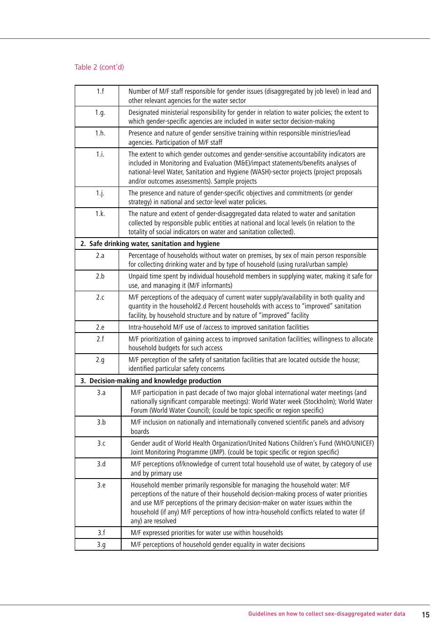| 1.f     | Number of M/F staff responsible for gender issues (disaggregated by job level) in lead and<br>other relevant agencies for the water sector                                                                                                                                                                                                                                    |
|---------|-------------------------------------------------------------------------------------------------------------------------------------------------------------------------------------------------------------------------------------------------------------------------------------------------------------------------------------------------------------------------------|
| 1.g.    | Designated ministerial responsibility for gender in relation to water policies; the extent to<br>which gender-specific agencies are included in water sector decision-making                                                                                                                                                                                                  |
| 1.h.    | Presence and nature of gender sensitive training within responsible ministries/lead<br>agencies. Participation of M/F staff                                                                                                                                                                                                                                                   |
| 1.i.    | The extent to which gender outcomes and gender-sensitive accountability indicators are<br>included in Monitoring and Evaluation (M&E)/impact statements/benefits analyses of<br>national-level Water, Sanitation and Hygiene (WASH)-sector projects (project proposals<br>and/or outcomes assessments). Sample projects                                                       |
| $1.$ j. | The presence and nature of gender-specific objectives and commitments (or gender<br>strategy) in national and sector-level water policies.                                                                                                                                                                                                                                    |
| 1.k.    | The nature and extent of gender-disaggregated data related to water and sanitation<br>collected by responsible public entities at national and local levels (in relation to the<br>totality of social indicators on water and sanitation collected).                                                                                                                          |
|         | 2. Safe drinking water, sanitation and hygiene                                                                                                                                                                                                                                                                                                                                |
| 2.a     | Percentage of households without water on premises, by sex of main person responsible<br>for collecting drinking water and by type of household (using rural/urban sample)                                                                                                                                                                                                    |
| 2.b     | Unpaid time spent by individual household members in supplying water, making it safe for<br>use, and managing it (M/F informants)                                                                                                                                                                                                                                             |
| 2.c     | M/F perceptions of the adequacy of current water supply/availability in both quality and<br>quantity in the household2.d Percent households with access to "improved" sanitation<br>facility, by household structure and by nature of "improved" facility                                                                                                                     |
| 2.e     | Intra-household M/F use of /access to improved sanitation facilities                                                                                                                                                                                                                                                                                                          |
| 2.f     | M/F prioritization of gaining access to improved sanitation facilities; willingness to allocate<br>household budgets for such access                                                                                                                                                                                                                                          |
| 2.g.    | M/F perception of the safety of sanitation facilities that are located outside the house;<br>identified particular safety concerns                                                                                                                                                                                                                                            |
|         | 3. Decision-making and knowledge production                                                                                                                                                                                                                                                                                                                                   |
| 3.a     | M/F participation in past decade of two major global international water meetings (and<br>nationally significant comparable meetings): World Water week (Stockholm); World Water<br>Forum (World Water Council); (could be topic specific or region specific)                                                                                                                 |
| 3.b     | M/F inclusion on nationally and internationally convened scientific panels and advisory<br>boards                                                                                                                                                                                                                                                                             |
| 3.c     | Gender audit of World Health Organization/United Nations Children's Fund (WHO/UNICEF)<br>Joint Monitoring Programme (JMP). (could be topic specific or region specific)                                                                                                                                                                                                       |
| 3.d     | M/F perceptions of/knowledge of current total household use of water, by category of use<br>and by primary use                                                                                                                                                                                                                                                                |
| 3.e     | Household member primarily responsible for managing the household water: M/F<br>perceptions of the nature of their household decision-making process of water priorities<br>and use M/F perceptions of the primary decision-maker on water issues within the<br>household (if any) M/F perceptions of how intra-household conflicts related to water (if<br>any) are resolved |
| 3.f     | M/F expressed priorities for water use within households                                                                                                                                                                                                                                                                                                                      |
| 3.g     | M/F perceptions of household gender equality in water decisions                                                                                                                                                                                                                                                                                                               |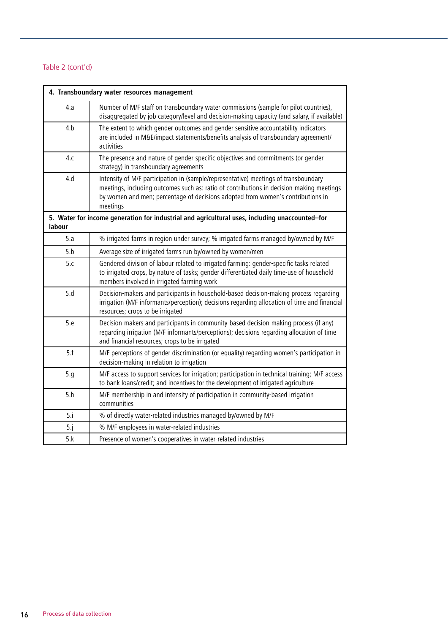| 4. Transboundary water resources management |                                                                                                                                                                                                                                                                                |  |  |
|---------------------------------------------|--------------------------------------------------------------------------------------------------------------------------------------------------------------------------------------------------------------------------------------------------------------------------------|--|--|
| 4.a                                         | Number of M/F staff on transboundary water commissions (sample for pilot countries),<br>disaggregated by job category/level and decision-making capacity (and salary, if available)                                                                                            |  |  |
| 4.b                                         | The extent to which gender outcomes and gender sensitive accountability indicators<br>are included in M&E/impact statements/benefits analysis of transboundary agreement/<br>activities                                                                                        |  |  |
| 4.c                                         | The presence and nature of gender-specific objectives and commitments (or gender<br>strategy) in transboundary agreements                                                                                                                                                      |  |  |
| 4.d                                         | Intensity of M/F participation in (sample/representative) meetings of transboundary<br>meetings, including outcomes such as: ratio of contributions in decision-making meetings<br>by women and men; percentage of decisions adopted from women's contributions in<br>meetings |  |  |
| labour                                      | 5. Water for income generation for industrial and agricultural uses, including unaccounted-for                                                                                                                                                                                 |  |  |
| 5.a                                         | % irrigated farms in region under survey; % irrigated farms managed by/owned by M/F                                                                                                                                                                                            |  |  |
| 5.b                                         | Average size of irrigated farms run by/owned by women/men                                                                                                                                                                                                                      |  |  |
| 5.c                                         | Gendered division of labour related to irrigated farming: gender-specific tasks related<br>to irrigated crops, by nature of tasks; gender differentiated daily time-use of household<br>members involved in irrigated farming work                                             |  |  |
| 5.d                                         | Decision-makers and participants in household-based decision-making process regarding<br>irrigation (M/F informants/perception); decisions regarding allocation of time and financial<br>resources; crops to be irrigated                                                      |  |  |
| 5.e                                         | Decision-makers and participants in community-based decision-making process (if any)<br>regarding irrigation (M/F informants/perceptions); decisions regarding allocation of time<br>and financial resources; crops to be irrigated                                            |  |  |
| 5.f                                         | M/F perceptions of gender discrimination (or equality) regarding women's participation in<br>decision-making in relation to irrigation                                                                                                                                         |  |  |
| 5.g                                         | M/F access to support services for irrigation; participation in technical training; M/F access<br>to bank loans/credit; and incentives for the development of irrigated agriculture                                                                                            |  |  |
| 5.h                                         | M/F membership in and intensity of participation in community-based irrigation<br>communities                                                                                                                                                                                  |  |  |
| 5.i                                         | % of directly water-related industries managed by/owned by M/F                                                                                                                                                                                                                 |  |  |
| 5.j                                         | % M/F employees in water-related industries                                                                                                                                                                                                                                    |  |  |
| 5.k                                         | Presence of women's cooperatives in water-related industries                                                                                                                                                                                                                   |  |  |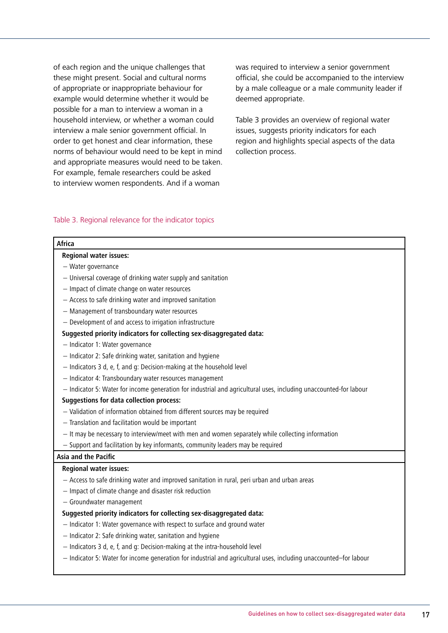of each region and the unique challenges that these might present. Social and cultural norms of appropriate or inappropriate behaviour for example would determine whether it would be possible for a man to interview a woman in a household interview, or whether a woman could interview a male senior government official. In order to get honest and clear information, these norms of behaviour would need to be kept in mind and appropriate measures would need to be taken. For example, female researchers could be asked to interview women respondents. And if a woman

was required to interview a senior government official, she could be accompanied to the interview by a male colleague or a male community leader if deemed appropriate.

Table 3 provides an overview of regional water issues, suggests priority indicators for each region and highlights special aspects of the data collection process.

#### Table 3. Regional relevance for the indicator topics

| <b>Africa</b>                                                                                                     |  |  |  |
|-------------------------------------------------------------------------------------------------------------------|--|--|--|
| <b>Regional water issues:</b>                                                                                     |  |  |  |
| - Water governance                                                                                                |  |  |  |
| - Universal coverage of drinking water supply and sanitation                                                      |  |  |  |
| - Impact of climate change on water resources                                                                     |  |  |  |
| - Access to safe drinking water and improved sanitation                                                           |  |  |  |
| - Management of transboundary water resources                                                                     |  |  |  |
| - Development of and access to irrigation infrastructure                                                          |  |  |  |
| Suggested priority indicators for collecting sex-disaggregated data:                                              |  |  |  |
| - Indicator 1: Water governance                                                                                   |  |  |  |
| - Indicator 2: Safe drinking water, sanitation and hygiene                                                        |  |  |  |
| - Indicators 3 d, e, f, and g: Decision-making at the household level                                             |  |  |  |
| - Indicator 4: Transboundary water resources management                                                           |  |  |  |
| - Indicator 5: Water for income generation for industrial and agricultural uses, including unaccounted-for labour |  |  |  |
| <b>Suggestions for data collection process:</b>                                                                   |  |  |  |
| - Validation of information obtained from different sources may be required                                       |  |  |  |
| - Translation and facilitation would be important                                                                 |  |  |  |
| - It may be necessary to interview/meet with men and women separately while collecting information                |  |  |  |
| - Support and facilitation by key informants, community leaders may be required                                   |  |  |  |
| Asia and the Pacific                                                                                              |  |  |  |
| <b>Regional water issues:</b>                                                                                     |  |  |  |
| - Access to safe drinking water and improved sanitation in rural, peri urban and urban areas                      |  |  |  |
| - Impact of climate change and disaster risk reduction                                                            |  |  |  |
| - Groundwater management                                                                                          |  |  |  |
| Suggested priority indicators for collecting sex-disaggregated data:                                              |  |  |  |
| - Indicator 1: Water governance with respect to surface and ground water                                          |  |  |  |
| - Indicator 2: Safe drinking water, sanitation and hygiene                                                        |  |  |  |
| - Indicators 3 d, e, f, and g: Decision-making at the intra-household level                                       |  |  |  |
| - Indicator 5: Water for income generation for industrial and agricultural uses, including unaccounted-for labour |  |  |  |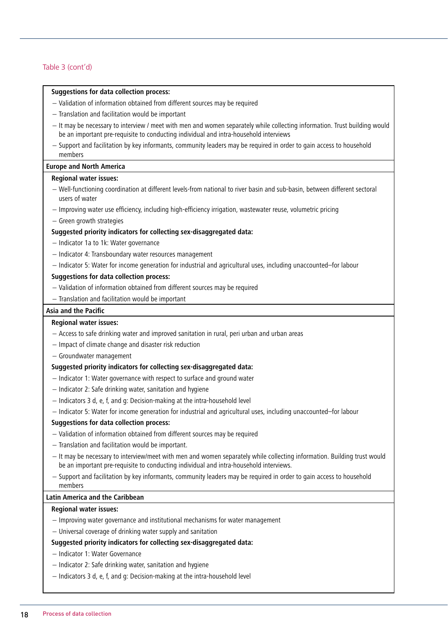#### **Suggestions for data collection process:**

- − Validation of information obtained from different sources may be required
- − Translation and facilitation would be important
- − It may be necessary to interview / meet with men and women separately while collecting information. Trust building would be an important pre-requisite to conducting individual and intra-household interviews
- − Support and facilitation by key informants, community leaders may be required in order to gain access to household members

#### **Europe and North America**

#### **Regional water issues:**

- − Well-functioning coordination at different levels-from national to river basin and sub-basin, between different sectoral users of water
- − Improving water use efficiency, including high-efficiency irrigation, wastewater reuse, volumetric pricing
- − Green growth strategies

#### **Suggested priority indicators for collecting sex-disaggregated data:**

- − Indicator 1a to 1k: Water governance
- − Indicator 4: Transboundary water resources management
- − Indicator 5: Water for income generation for industrial and agricultural uses, including unaccounted–for labour

#### **Suggestions for data collection process:**

- − Validation of information obtained from different sources may be required
- − Translation and facilitation would be important

#### **Asia and the Pacific**

#### **Regional water issues:**

- − Access to safe drinking water and improved sanitation in rural, peri urban and urban areas
- − Impact of climate change and disaster risk reduction
- − Groundwater management

#### **Suggested priority indicators for collecting sex-disaggregated data:**

- − Indicator 1: Water governance with respect to surface and ground water
- − Indicator 2: Safe drinking water, sanitation and hygiene
- − Indicators 3 d, e, f, and g: Decision-making at the intra-household level
- − Indicator 5: Water for income generation for industrial and agricultural uses, including unaccounted–for labour

#### **Suggestions for data collection process:**

- − Validation of information obtained from different sources may be required
- − Translation and facilitation would be important.
- − It may be necessary to interview/meet with men and women separately while collecting information. Building trust would be an important pre-requisite to conducting individual and intra-household interviews.
- − Support and facilitation by key informants, community leaders may be required in order to gain access to household members

#### **Latin America and the Caribbean**

#### **Regional water issues:**

- − Improving water governance and institutional mechanisms for water management
- − Universal coverage of drinking water supply and sanitation

#### **Suggested priority indicators for collecting sex-disaggregated data:**

- − Indicator 1: Water Governance
- − Indicator 2: Safe drinking water, sanitation and hygiene
- − Indicators 3 d, e, f, and g: Decision-making at the intra-household level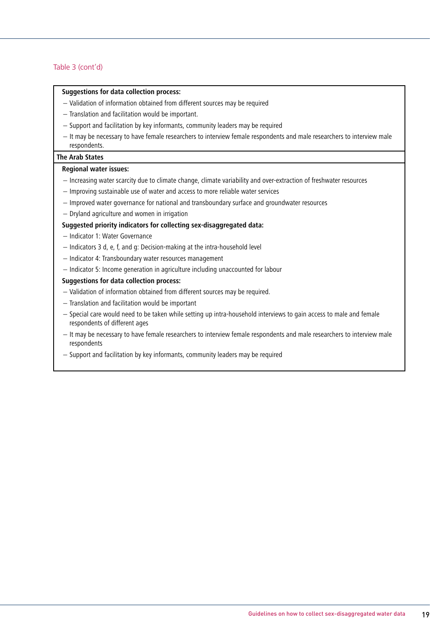#### **Suggestions for data collection process:**

- − Validation of information obtained from different sources may be required
- − Translation and facilitation would be important.
- − Support and facilitation by key informants, community leaders may be required
- − It may be necessary to have female researchers to interview female respondents and male researchers to interview male respondents.

#### **The Arab States**

#### **Regional water issues:**

- − Increasing water scarcity due to climate change, climate variability and over-extraction of freshwater resources
- − Improving sustainable use of water and access to more reliable water services
- − Improved water governance for national and transboundary surface and groundwater resources
- − Dryland agriculture and women in irrigation

#### **Suggested priority indicators for collecting sex-disaggregated data:**

- − Indicator 1: Water Governance
- − Indicators 3 d, e, f, and g: Decision-making at the intra-household level
- − Indicator 4: Transboundary water resources management
- − Indicator 5: Income generation in agriculture including unaccounted for labour

#### **Suggestions for data collection process:**

- − Validation of information obtained from different sources may be required.
- − Translation and facilitation would be important
- − Special care would need to be taken while setting up intra-household interviews to gain access to male and female respondents of different ages
- − It may be necessary to have female researchers to interview female respondents and male researchers to interview male respondents
- − Support and facilitation by key informants, community leaders may be required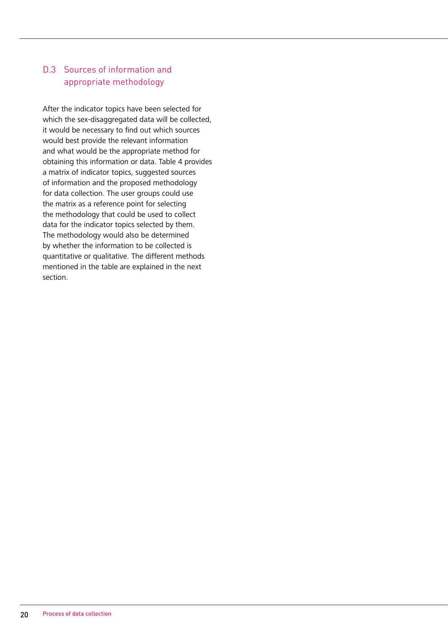## D.3 Sources of information and appropriate methodology

After the indicator topics have been selected for which the sex-disaggregated data will be collected, it would be necessary to find out which sources would best provide the relevant information and what would be the appropriate method for obtaining this information or data. Table 4 provides a matrix of indicator topics, suggested sources of information and the proposed methodology for data collection. The user groups could use the matrix as a reference point for selecting the methodology that could be used to collect data for the indicator topics selected by them. The methodology would also be determined by whether the information to be collected is quantitative or qualitative. The different methods mentioned in the table are explained in the next section.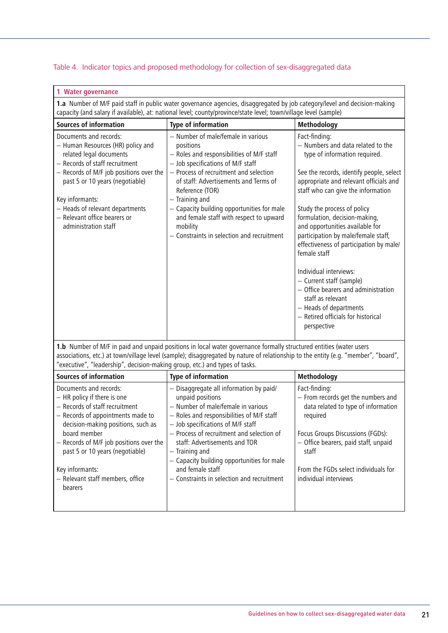#### Table 4. Indicator topics and proposed methodology for collection of sex-disaggregated data

| 1 Water governance                                                                                                                                                                                                                                                                                                   |                                                                                                                                                                                                                                                                                                                                                                                                              |                                                                                                                                                                                                                                                                                                                                                                                                                                                                                                                                                                                                                       |  |
|----------------------------------------------------------------------------------------------------------------------------------------------------------------------------------------------------------------------------------------------------------------------------------------------------------------------|--------------------------------------------------------------------------------------------------------------------------------------------------------------------------------------------------------------------------------------------------------------------------------------------------------------------------------------------------------------------------------------------------------------|-----------------------------------------------------------------------------------------------------------------------------------------------------------------------------------------------------------------------------------------------------------------------------------------------------------------------------------------------------------------------------------------------------------------------------------------------------------------------------------------------------------------------------------------------------------------------------------------------------------------------|--|
| 1.a Number of M/F paid staff in public water governance agencies, disaggregated by job category/level and decision-making<br>capacity (and salary if available), at: national level; county/province/state level; town/village level (sample)                                                                        |                                                                                                                                                                                                                                                                                                                                                                                                              |                                                                                                                                                                                                                                                                                                                                                                                                                                                                                                                                                                                                                       |  |
| <b>Sources of information</b>                                                                                                                                                                                                                                                                                        | Type of information                                                                                                                                                                                                                                                                                                                                                                                          | Methodology                                                                                                                                                                                                                                                                                                                                                                                                                                                                                                                                                                                                           |  |
| Documents and records:<br>- Human Resources (HR) policy and<br>related legal documents<br>- Records of staff recruitment<br>- Records of M/F job positions over the<br>past 5 or 10 years (negotiable)<br>Key informants:<br>- Heads of relevant departments<br>- Relevant office bearers or<br>administration staff | - Number of male/female in various<br>positions<br>- Roles and responsibilities of M/F staff<br>- Job specifications of M/F staff<br>- Process of recruitment and selection<br>of staff: Advertisements and Terms of<br>Reference (TOR)<br>- Training and<br>- Capacity building opportunities for male<br>and female staff with respect to upward<br>mobility<br>- Constraints in selection and recruitment | Fact-finding:<br>- Numbers and data related to the<br>type of information required.<br>See the records, identify people, select<br>appropriate and relevant officials and<br>staff who can give the information<br>Study the process of policy<br>formulation, decision-making,<br>and opportunities available for<br>participation by male/female staff,<br>effectiveness of participation by male/<br>female staff<br>Individual interviews:<br>- Current staff (sample)<br>- Office bearers and administration<br>staff as relevant<br>- Heads of departments<br>- Retired officials for historical<br>perspective |  |

**1.b** Number of M/F in paid and unpaid positions in local water governance formally structured entities (water users associations, etc.) at town/village level (sample); disaggregated by nature of relationship to the entity (e.g. "member", "board", "executive", "leadership", decision-making group, etc.) and types of tasks.

| Sources of information                  | Type of information                        | Methodology                          |
|-----------------------------------------|--------------------------------------------|--------------------------------------|
| Documents and records:                  | - Disaggregate all information by paid/    | Fact-finding:                        |
| - HR policy if there is one             | unpaid positions                           | - From records get the numbers and   |
| - Records of staff recruitment          | - Number of male/female in various         | data related to type of information  |
| - Records of appointments made to       | - Roles and responsibilities of M/F staff  | required                             |
| decision-making positions, such as      | - Job specifications of M/F staff          |                                      |
| board member                            | - Process of recruitment and selection of  | Focus Groups Discussions (FGDs):     |
| - Records of M/F job positions over the | staff: Advertisements and TOR              | - Office bearers, paid staff, unpaid |
| past 5 or 10 years (negotiable)         | - Training and                             | staff                                |
|                                         | - Capacity building opportunities for male |                                      |
| Key informants:                         | and female staff                           | From the FGDs select individuals for |
| - Relevant staff members, office        | - Constraints in selection and recruitment | individual interviews                |
| bearers                                 |                                            |                                      |
|                                         |                                            |                                      |
|                                         |                                            |                                      |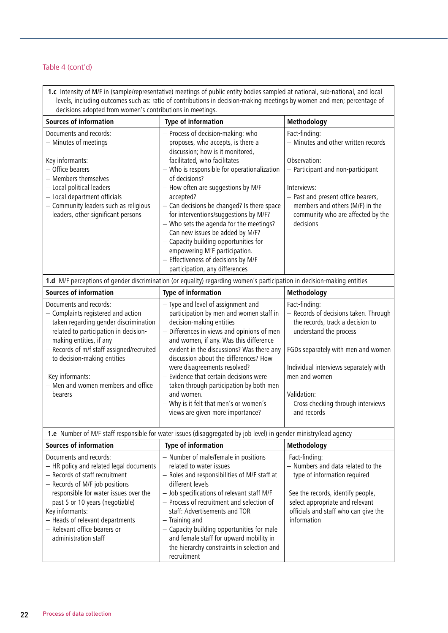**1.c** Intensity of M/F in (sample/representative) meetings of public entity bodies sampled at national, sub-national, and local levels, including outcomes such as: ratio of contributions in decision-making meetings by women and men; percentage of decisions adopted from women's contributions in meetings. **Sources of information Type of information Methodology** Documents and records: − Minutes of meetings Key informants: − Office bearers − Members themselves − Local political leaders − Local department officials − Community leaders such as religious leaders, other significant persons − Process of decision-making: who proposes, who accepts, is there a discussion; how is it monitored, facilitated, who facilitates − Who is responsible for operationalization of decisions? − How often are suggestions by M/F accepted? − Can decisions be changed? Is there space for interventions/suggestions by M/F? Fact-finding: − Minutes and other written records Observation: − Participant and non-participant Interviews: − Past and present office bearers, members and others (M/F) in the community who are affected by the

decisions

|                                                                                                                                                                                                                                                                                                                           | - Who sets the agenda for the meetings?<br>Can new issues be added by M/F?<br>$-$ Capacity building opportunities for<br>empowering M'F participation.<br>- Effectiveness of decisions by M/F<br>participation, any differences                                                                                                                                                                                                                                                                          | decisions                                                                                                                                                                                                                                                                                 |
|---------------------------------------------------------------------------------------------------------------------------------------------------------------------------------------------------------------------------------------------------------------------------------------------------------------------------|----------------------------------------------------------------------------------------------------------------------------------------------------------------------------------------------------------------------------------------------------------------------------------------------------------------------------------------------------------------------------------------------------------------------------------------------------------------------------------------------------------|-------------------------------------------------------------------------------------------------------------------------------------------------------------------------------------------------------------------------------------------------------------------------------------------|
|                                                                                                                                                                                                                                                                                                                           | 1.d M/F perceptions of gender discrimination (or equality) regarding women's participation in decision-making entities                                                                                                                                                                                                                                                                                                                                                                                   |                                                                                                                                                                                                                                                                                           |
| <b>Sources of information</b>                                                                                                                                                                                                                                                                                             | Type of information                                                                                                                                                                                                                                                                                                                                                                                                                                                                                      | Methodology                                                                                                                                                                                                                                                                               |
| Documents and records:<br>- Complaints registered and action<br>taken regarding gender discrimination<br>related to participation in decision-<br>making entities, if any<br>- Records of m/f staff assigned/recruited<br>to decision-making entities<br>Key informants:<br>- Men and women members and office<br>bearers | - Type and level of assignment and<br>participation by men and women staff in<br>decision-making entities<br>- Differences in views and opinions of men<br>and women, if any. Was this difference<br>evident in the discussions? Was there any<br>discussion about the differences? How<br>were disagreements resolved?<br>- Evidence that certain decisions were<br>taken through participation by both men<br>and women.<br>- Why is it felt that men's or women's<br>views are given more importance? | Fact-finding:<br>- Records of decisions taken. Through<br>the records, track a decision to<br>understand the process<br>FGDs separately with men and women<br>Individual interviews separately with<br>men and women<br>Validation:<br>- Cross checking through interviews<br>and records |

**1.e** Number of M/F staff responsible for water issues (disaggregated by job level) in gender ministry/lead agency **Sources of information Type of information Methodology** Documents and records: − HR policy and related legal documents − Records of staff recruitment − Records of M/F job positions responsible for water issues over the past 5 or 10 years (negotiable) Key informants: − Heads of relevant departments − Relevant office bearers or administration staff − Number of male/female in positions related to water issues − Roles and responsibilities of M/F staff at different levels − Job specifications of relevant staff M/F − Process of recruitment and selection of staff: Advertisements and TOR − Training and − Capacity building opportunities for male and female staff for upward mobility in the hierarchy constraints in selection and recruitment Fact-finding: − Numbers and data related to the type of information required See the records, identify people, select appropriate and relevant officials and staff who can give the information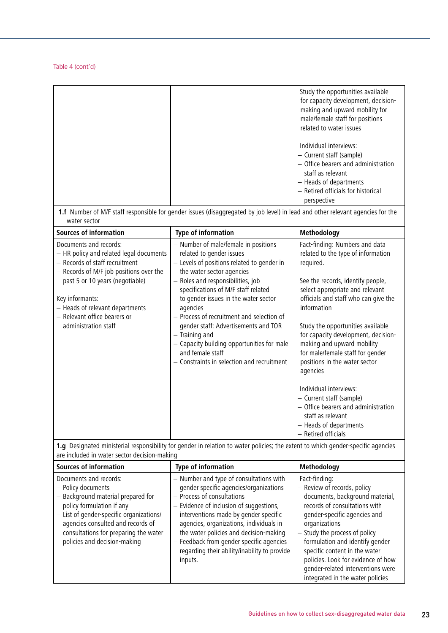|                                                                                                                                                                                                                                                                                                 | 1.f Number of M/F staff responsible for gender issues (disaggregated by job level) in lead and other relevant agencies for the                                                                                                                                                                                                                                                                                                                                                                     | Study the opportunities available<br>for capacity development, decision-<br>making and upward mobility for<br>male/female staff for positions<br>related to water issues<br>Individual interviews:<br>- Current staff (sample)<br>- Office bearers and administration<br>staff as relevant<br>- Heads of departments<br>- Retired officials for historical<br>perspective                                                                                                                                                                                                      |
|-------------------------------------------------------------------------------------------------------------------------------------------------------------------------------------------------------------------------------------------------------------------------------------------------|----------------------------------------------------------------------------------------------------------------------------------------------------------------------------------------------------------------------------------------------------------------------------------------------------------------------------------------------------------------------------------------------------------------------------------------------------------------------------------------------------|--------------------------------------------------------------------------------------------------------------------------------------------------------------------------------------------------------------------------------------------------------------------------------------------------------------------------------------------------------------------------------------------------------------------------------------------------------------------------------------------------------------------------------------------------------------------------------|
| water sector<br><b>Sources of information</b>                                                                                                                                                                                                                                                   | Type of information                                                                                                                                                                                                                                                                                                                                                                                                                                                                                | Methodology                                                                                                                                                                                                                                                                                                                                                                                                                                                                                                                                                                    |
| Documents and records:<br>- HR policy and related legal documents<br>- Records of staff recruitment<br>- Records of M/F job positions over the<br>past 5 or 10 years (negotiable)<br>Key informants:<br>- Heads of relevant departments<br>- Relevant office bearers or<br>administration staff | - Number of male/female in positions<br>related to gender issues<br>- Levels of positions related to gender in<br>the water sector agencies<br>- Roles and responsibilities, job<br>specifications of M/F staff related<br>to gender issues in the water sector<br>agencies<br>- Process of recruitment and selection of<br>gender staff: Advertisements and TOR<br>- Training and<br>- Capacity building opportunities for male<br>and female staff<br>- Constraints in selection and recruitment | Fact-finding: Numbers and data<br>related to the type of information<br>required.<br>See the records, identify people,<br>select appropriate and relevant<br>officials and staff who can give the<br>information<br>Study the opportunities available<br>for capacity development, decision-<br>making and upward mobility<br>for male/female staff for gender<br>positions in the water sector<br>agencies<br>Individual interviews:<br>- Current staff (sample)<br>- Office bearers and administration<br>staff as relevant<br>- Heads of departments<br>- Retired officials |

**1.g** Designated ministerial responsibility for gender in relation to water policies; the extent to which gender-specific agencies are included in water sector decision-making

| <b>Sources of information</b>                                                                                                                                                                                                                                             | Type of information                                                                                                                                                                                                                                                                                                                                                                             | Methodology                                                                                                                                                                                                                                                                                                                                                                           |
|---------------------------------------------------------------------------------------------------------------------------------------------------------------------------------------------------------------------------------------------------------------------------|-------------------------------------------------------------------------------------------------------------------------------------------------------------------------------------------------------------------------------------------------------------------------------------------------------------------------------------------------------------------------------------------------|---------------------------------------------------------------------------------------------------------------------------------------------------------------------------------------------------------------------------------------------------------------------------------------------------------------------------------------------------------------------------------------|
| Documents and records:<br>- Policy documents<br>- Background material prepared for<br>policy formulation if any<br>- List of gender-specific organizations/<br>agencies consulted and records of<br>consultations for preparing the water<br>policies and decision-making | - Number and type of consultations with<br>gender specific agencies/organizations<br>- Process of consultations<br>- Evidence of inclusion of suggestions,<br>interventions made by gender specific<br>agencies, organizations, individuals in<br>the water policies and decision-making<br>- Feedback from gender specific agencies<br>regarding their ability/inability to provide<br>inputs. | Fact-finding:<br>- Review of records, policy<br>documents, background material,<br>records of consultations with<br>gender-specific agencies and<br>organizations<br>- Study the process of policy<br>formulation and identify gender<br>specific content in the water<br>policies. Look for evidence of how<br>gender-related interventions were<br>integrated in the water policies |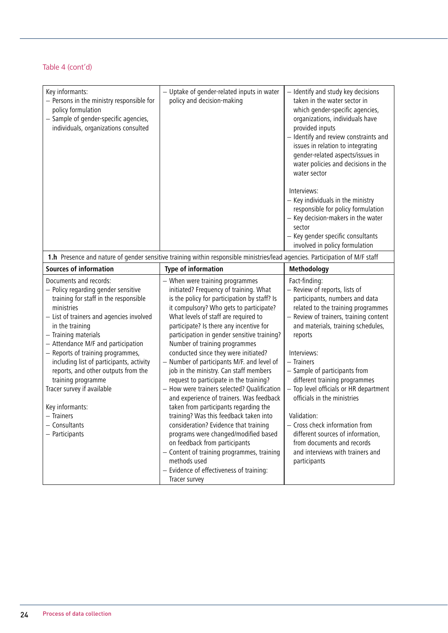| Key informants:<br>- Persons in the ministry responsible for<br>policy formulation<br>- Sample of gender-specific agencies,<br>individuals, organizations consulted                                                                                                                                                                                                                                                                                                                                 | - Uptake of gender-related inputs in water<br>policy and decision-making                                                                                                                                                                                                                                                                                                                                                                                                                                                                                                                                                                                                                                                                                                                                                                                                                                                                      | - Identify and study key decisions<br>taken in the water sector in<br>which gender-specific agencies,<br>organizations, individuals have<br>provided inputs<br>- Identify and review constraints and<br>issues in relation to integrating<br>gender-related aspects/issues in<br>water policies and decisions in the<br>water sector<br>Interviews:<br>$-$ Key individuals in the ministry<br>responsible for policy formulation<br>- Key decision-makers in the water<br>sector<br>- Key gender specific consultants<br>involved in policy formulation             |
|-----------------------------------------------------------------------------------------------------------------------------------------------------------------------------------------------------------------------------------------------------------------------------------------------------------------------------------------------------------------------------------------------------------------------------------------------------------------------------------------------------|-----------------------------------------------------------------------------------------------------------------------------------------------------------------------------------------------------------------------------------------------------------------------------------------------------------------------------------------------------------------------------------------------------------------------------------------------------------------------------------------------------------------------------------------------------------------------------------------------------------------------------------------------------------------------------------------------------------------------------------------------------------------------------------------------------------------------------------------------------------------------------------------------------------------------------------------------|---------------------------------------------------------------------------------------------------------------------------------------------------------------------------------------------------------------------------------------------------------------------------------------------------------------------------------------------------------------------------------------------------------------------------------------------------------------------------------------------------------------------------------------------------------------------|
|                                                                                                                                                                                                                                                                                                                                                                                                                                                                                                     | 1.h Presence and nature of gender sensitive training within responsible ministries/lead agencies. Participation of M/F staff                                                                                                                                                                                                                                                                                                                                                                                                                                                                                                                                                                                                                                                                                                                                                                                                                  |                                                                                                                                                                                                                                                                                                                                                                                                                                                                                                                                                                     |
| <b>Sources of information</b>                                                                                                                                                                                                                                                                                                                                                                                                                                                                       | <b>Type of information</b>                                                                                                                                                                                                                                                                                                                                                                                                                                                                                                                                                                                                                                                                                                                                                                                                                                                                                                                    | Methodology                                                                                                                                                                                                                                                                                                                                                                                                                                                                                                                                                         |
| Documents and records:<br>- Policy regarding gender sensitive<br>training for staff in the responsible<br>ministries<br>- List of trainers and agencies involved<br>in the training<br>- Training materials<br>- Attendance M/F and participation<br>- Reports of training programmes,<br>including list of participants, activity<br>reports, and other outputs from the<br>training programme<br>Tracer survey if available<br>Key informants:<br>$-$ Trainers<br>- Consultants<br>- Participants | - When were training programmes<br>initiated? Frequency of training. What<br>is the policy for participation by staff? Is<br>it compulsory? Who gets to participate?<br>What levels of staff are required to<br>participate? Is there any incentive for<br>participation in gender sensitive training?<br>Number of training programmes<br>conducted since they were initiated?<br>- Number of participants M/F. and level of<br>job in the ministry. Can staff members<br>request to participate in the training?<br>- How were trainers selected? Qualification<br>and experience of trainers. Was feedback<br>taken from participants regarding the<br>training? Was this feedback taken into<br>consideration? Evidence that training<br>programs were changed/modified based<br>on feedback from participants<br>- Content of training programmes, training<br>methods used<br>- Evidence of effectiveness of training:<br>Tracer survey | Fact-finding:<br>- Review of reports, lists of<br>participants, numbers and data<br>related to the training programmes<br>- Review of trainers, training content<br>and materials, training schedules,<br>reports<br>Interviews:<br>$-$ Trainers<br>- Sample of participants from<br>different training programmes<br>- Top level officials or HR department<br>officials in the ministries<br>Validation:<br>- Cross check information from<br>different sources of information,<br>from documents and records<br>and interviews with trainers and<br>participants |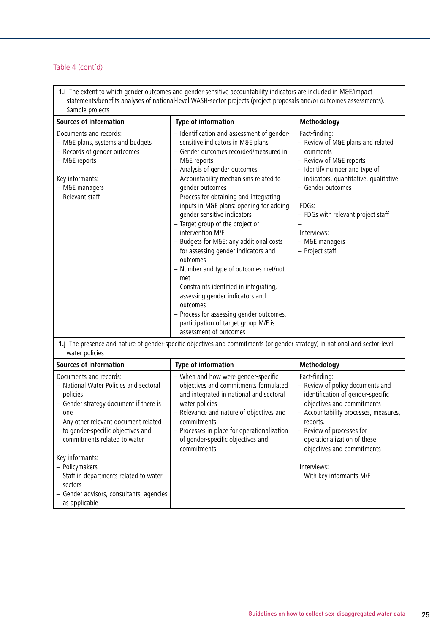as applicable

**1.i** The extent to which gender outcomes and gender-sensitive accountability indicators are included in M&E/impact statements/benefits analyses of national-level WASH-sector projects (project proposals and/or outcomes assessments). Sample projects

| <b>Sources of information</b>                                                                                                                                                                                                                                                                                                                                                      | <b>Type of information</b>                                                                                                                                                                                                                                                                                                                                                                                                                                                                                                                                                                                                                                                                                                                                                 | Methodology                                                                                                                                                                                                                                                                                                     |
|------------------------------------------------------------------------------------------------------------------------------------------------------------------------------------------------------------------------------------------------------------------------------------------------------------------------------------------------------------------------------------|----------------------------------------------------------------------------------------------------------------------------------------------------------------------------------------------------------------------------------------------------------------------------------------------------------------------------------------------------------------------------------------------------------------------------------------------------------------------------------------------------------------------------------------------------------------------------------------------------------------------------------------------------------------------------------------------------------------------------------------------------------------------------|-----------------------------------------------------------------------------------------------------------------------------------------------------------------------------------------------------------------------------------------------------------------------------------------------------------------|
| Documents and records:<br>- M&E plans, systems and budgets<br>- Records of gender outcomes<br>- M&E reports<br>Key informants:<br>$-$ M&E managers<br>- Relevant staff                                                                                                                                                                                                             | - Identification and assessment of gender-<br>sensitive indicators in M&E plans<br>- Gender outcomes recorded/measured in<br>M&E reports<br>- Analysis of gender outcomes<br>- Accountability mechanisms related to<br>gender outcomes<br>- Process for obtaining and integrating<br>inputs in M&E plans: opening for adding<br>gender sensitive indicators<br>- Target group of the project or<br>intervention M/F<br>- Budgets for M&E: any additional costs<br>for assessing gender indicators and<br>outcomes<br>- Number and type of outcomes met/not<br>met<br>- Constraints identified in integrating,<br>assessing gender indicators and<br>outcomes<br>- Process for assessing gender outcomes,<br>participation of target group M/F is<br>assessment of outcomes | Fact-finding:<br>- Review of M&E plans and related<br>comments<br>- Review of M&E reports<br>- Identify number and type of<br>indicators, quantitative, qualitative<br>- Gender outcomes<br>FDGs:<br>- FDGs with relevant project staff<br>Interviews:<br>$-$ M&E managers<br>- Project staff                   |
| water policies                                                                                                                                                                                                                                                                                                                                                                     | 1.j The presence and nature of gender-specific objectives and commitments (or gender strategy) in national and sector-level                                                                                                                                                                                                                                                                                                                                                                                                                                                                                                                                                                                                                                                |                                                                                                                                                                                                                                                                                                                 |
| <b>Sources of information</b>                                                                                                                                                                                                                                                                                                                                                      | <b>Type of information</b>                                                                                                                                                                                                                                                                                                                                                                                                                                                                                                                                                                                                                                                                                                                                                 | Methodology                                                                                                                                                                                                                                                                                                     |
| Documents and records:<br>- National Water Policies and sectoral<br>policies<br>- Gender strategy document if there is<br>one<br>- Any other relevant document related<br>to gender-specific objectives and<br>commitments related to water<br>Key informants:<br>- Policymakers<br>- Staff in departments related to water<br>sectors<br>- Gender advisors, consultants, agencies | - When and how were gender-specific<br>objectives and commitments formulated<br>and integrated in national and sectoral<br>water policies<br>- Relevance and nature of objectives and<br>commitments<br>- Processes in place for operationalization<br>of gender-specific objectives and<br>commitments                                                                                                                                                                                                                                                                                                                                                                                                                                                                    | Fact-finding:<br>- Review of policy documents and<br>identification of gender-specific<br>objectives and commitments<br>- Accountability processes, measures,<br>reports.<br>- Review of processes for<br>operationalization of these<br>objectives and commitments<br>Interviews:<br>- With key informants M/F |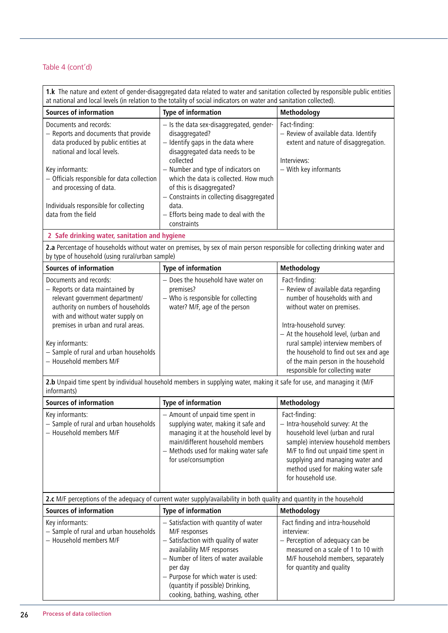**1.k** The nature and extent of gender-disaggregated data related to water and sanitation collected by responsible public entities at national and local levels (in relation to the totality of social indicators on water and sanitation collected). **Sources of information Type of information Methodology** Documents and records: − Reports and documents that provide data produced by public entities at national and local levels. Key informants: − Officials responsible for data collection and processing of data. Individuals responsible for collecting data from the field − Is the data sex-disaggregated, genderdisaggregated? − Identify gaps in the data where disaggregated data needs to be collected − Number and type of indicators on which the data is collected. How much of this is disaggregated? − Constraints in collecting disaggregated data. − Efforts being made to deal with the constraints Fact-finding: − Review of available data. Identify extent and nature of disaggregation. Interviews: − With key informants **2 Safe drinking water, sanitation and hygiene 2.a** Percentage of households without water on premises, by sex of main person responsible for collecting drinking water and by type of household (using rural/urban sample) **Sources of information Type of information Methodology** Documents and records: − Reports or data maintained by relevant government department/ authority on numbers of households with and without water supply on premises in urban and rural areas. Key informants: − Sample of rural and urban households − Household members M/F − Does the household have water on premises? − Who is responsible for collecting water? M/F, age of the person Fact-finding: − Review of available data regarding number of households with and without water on premises. Intra-household survey: − At the household level, (urban and rural sample) interview members of the household to find out sex and age of the main person in the household responsible for collecting water **2.b** Unpaid time spent by individual household members in supplying water, making it safe for use, and managing it (M/F informants) **Sources of information Type of information Methodology** Key informants: − Sample of rural and urban households − Household members M/F − Amount of unpaid time spent in supplying water, making it safe and managing it at the household level by main/different household members − Methods used for making water safe for use/consumption Fact-finding: − Intra-household survey: At the household level (urban and rural sample) interview household members M/F to find out unpaid time spent in supplying and managing water and method used for making water safe for household use.

| 2.c M/F perceptions of the adequacy of current water supply/availability in both quality and quantity in the household |                                                                                                                                                                                                                                                                                                |                                                                                                                                                                                           |
|------------------------------------------------------------------------------------------------------------------------|------------------------------------------------------------------------------------------------------------------------------------------------------------------------------------------------------------------------------------------------------------------------------------------------|-------------------------------------------------------------------------------------------------------------------------------------------------------------------------------------------|
| <b>Sources of information</b>                                                                                          | Type of information                                                                                                                                                                                                                                                                            | Methodology                                                                                                                                                                               |
| Key informants:<br>- Sample of rural and urban households<br>- Household members M/F                                   | - Satisfaction with quantity of water<br>M/F responses<br>- Satisfaction with quality of water<br>availability M/F responses<br>- Number of liters of water available<br>per day<br>- Purpose for which water is used:<br>(quantity if possible) Drinking,<br>cooking, bathing, washing, other | Fact finding and intra-household<br>interview:<br>- Perception of adequacy can be<br>measured on a scale of 1 to 10 with<br>M/F household members, separately<br>for quantity and quality |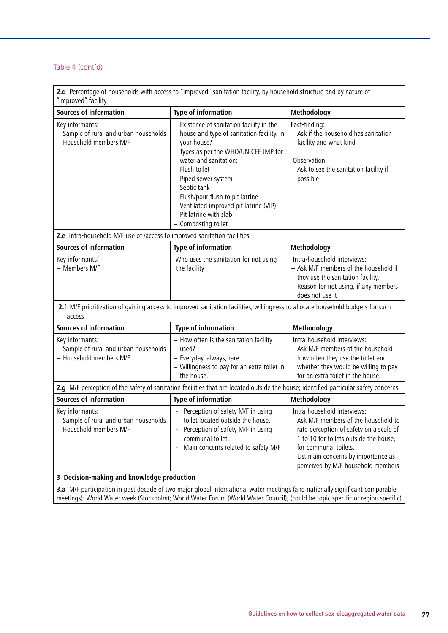**2.d** Percentage of households with access to "improved" sanitation facility, by household structure and by nature of "improved" facility

| <b>Sources of information</b>                                                                                                            | Type of information                                                                                                                                                                                                                                                                                                                                                  | Methodology                                                                                                                                                                                                                                                       |
|------------------------------------------------------------------------------------------------------------------------------------------|----------------------------------------------------------------------------------------------------------------------------------------------------------------------------------------------------------------------------------------------------------------------------------------------------------------------------------------------------------------------|-------------------------------------------------------------------------------------------------------------------------------------------------------------------------------------------------------------------------------------------------------------------|
| Key informants:<br>- Sample of rural and urban households<br>- Household members M/F                                                     | - Existence of sanitation facility in the<br>house and type of sanitation facility. in<br>your house?<br>- Types as per the WHO/UNICEF JMP for<br>water and sanitation:<br>- Flush toilet<br>- Piped sewer system<br>- Septic tank<br>- Flush/pour flush to pit latrine<br>- Ventilated improved pit latrine (VIP)<br>- Pit latrine with slab<br>- Composting toilet | Fact-finding:<br>- Ask if the household has sanitation<br>facility and what kind<br>Observation:<br>- Ask to see the sanitation facility if<br>possible                                                                                                           |
| 2.e Intra-household M/F use of /access to improved sanitation facilities                                                                 |                                                                                                                                                                                                                                                                                                                                                                      |                                                                                                                                                                                                                                                                   |
| <b>Sources of information</b>                                                                                                            | Type of information                                                                                                                                                                                                                                                                                                                                                  | Methodology                                                                                                                                                                                                                                                       |
| Key informants:"<br>- Members M/F                                                                                                        | Who uses the sanitation for not using<br>the facility                                                                                                                                                                                                                                                                                                                | Intra-household interviews:<br>- Ask M/F members of the household if<br>they use the sanitation facility.<br>- Reason for not using, if any members<br>does not use it                                                                                            |
| 2.f M/F prioritization of gaining access to improved sanitation facilities; willingness to allocate household budgets for such<br>access |                                                                                                                                                                                                                                                                                                                                                                      |                                                                                                                                                                                                                                                                   |
| <b>Sources of information</b>                                                                                                            | Type of information                                                                                                                                                                                                                                                                                                                                                  | Methodology                                                                                                                                                                                                                                                       |
| Key informants:<br>- Sample of rural and urban households<br>- Household members M/F                                                     | - How often is the sanitation facility<br>used?<br>- Everyday, always, rare<br>- Willingness to pay for an extra toilet in<br>the house.                                                                                                                                                                                                                             | Intra-household interviews:<br>- Ask M/F members of the household<br>how often they use the toilet and<br>whether they would be willing to pay<br>for an extra toilet in the house.                                                                               |
| 2.g M/F perception of the safety of sanitation facilities that are located outside the house; identified particular safety concerns      |                                                                                                                                                                                                                                                                                                                                                                      |                                                                                                                                                                                                                                                                   |
| <b>Sources of information</b>                                                                                                            | Type of information                                                                                                                                                                                                                                                                                                                                                  | Methodology                                                                                                                                                                                                                                                       |
| Key informants:<br>- Sample of rural and urban households<br>- Household members M/F                                                     | - Perception of safety M/F in using<br>toilet located outside the house.<br>Perception of safety M/F in using<br>$\blacksquare$<br>communal toilet.<br>- Main concerns related to safety M/F                                                                                                                                                                         | Intra-household interviews:<br>- Ask M/F members of the household to<br>rate perception of safety on a scale of<br>1 to 10 for toilets outside the house,<br>for communal toilets.<br>- List main concerns by importance as<br>perceived by M/F household members |
| 3 Decision-making and knowledge production                                                                                               |                                                                                                                                                                                                                                                                                                                                                                      |                                                                                                                                                                                                                                                                   |
| 3.a M/F participation in past decade of two major global international water meetings (and nationally significant comparable             |                                                                                                                                                                                                                                                                                                                                                                      |                                                                                                                                                                                                                                                                   |

meetings): World Water week (Stockholm); World Water Forum (World Water Council); (could be topic specific or region specific)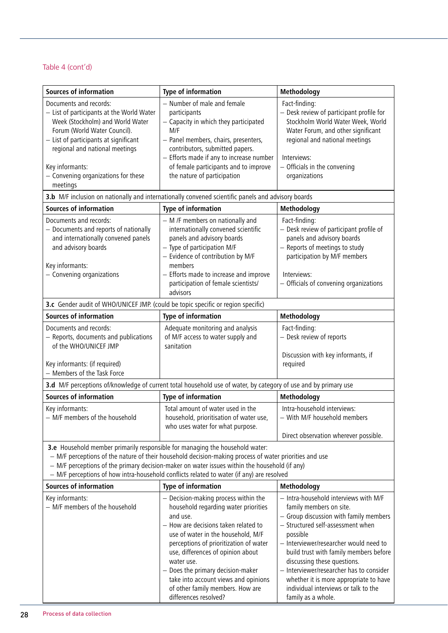| <b>Sources of information</b>                                                                                                                                                                                                                                                            | Type of information                                                                                                                                                                                                                                                                                                                                                                                           | Methodology                                                                                                                                                                                                                                                                                                                                                                                                                        |
|------------------------------------------------------------------------------------------------------------------------------------------------------------------------------------------------------------------------------------------------------------------------------------------|---------------------------------------------------------------------------------------------------------------------------------------------------------------------------------------------------------------------------------------------------------------------------------------------------------------------------------------------------------------------------------------------------------------|------------------------------------------------------------------------------------------------------------------------------------------------------------------------------------------------------------------------------------------------------------------------------------------------------------------------------------------------------------------------------------------------------------------------------------|
| Documents and records:<br>- List of participants at the World Water<br>Week (Stockholm) and World Water<br>Forum (World Water Council).<br>- List of participants at significant<br>regional and national meetings<br>Key informants:<br>- Convening organizations for these<br>meetings | - Number of male and female<br>participants<br>- Capacity in which they participated<br>M/F<br>- Panel members, chairs, presenters,<br>contributors, submitted papers.<br>- Efforts made if any to increase number<br>of female participants and to improve<br>the nature of participation                                                                                                                    | Fact-finding:<br>- Desk review of participant profile for<br>Stockholm World Water Week, World<br>Water Forum, and other significant<br>regional and national meetings<br>Interviews:<br>- Officials in the convening<br>organizations                                                                                                                                                                                             |
|                                                                                                                                                                                                                                                                                          | 3.b M/F inclusion on nationally and internationally convened scientific panels and advisory boards                                                                                                                                                                                                                                                                                                            |                                                                                                                                                                                                                                                                                                                                                                                                                                    |
| <b>Sources of information</b>                                                                                                                                                                                                                                                            | <b>Type of information</b>                                                                                                                                                                                                                                                                                                                                                                                    | Methodology                                                                                                                                                                                                                                                                                                                                                                                                                        |
| Documents and records:<br>- Documents and reports of nationally<br>and internationally convened panels<br>and advisory boards<br>Key informants:<br>- Convening organizations                                                                                                            | - M /F members on nationally and<br>internationally convened scientific<br>panels and advisory boards<br>- Type of participation M/F<br>- Evidence of contribution by M/F<br>members<br>- Efforts made to increase and improve<br>participation of female scientists/<br>advisors                                                                                                                             | Fact-finding:<br>- Desk review of participant profile of<br>panels and advisory boards<br>- Reports of meetings to study<br>participation by M/F members<br>Interviews:<br>- Officials of convening organizations                                                                                                                                                                                                                  |
| 3.c Gender audit of WHO/UNICEF JMP. (could be topic specific or region specific)                                                                                                                                                                                                         |                                                                                                                                                                                                                                                                                                                                                                                                               |                                                                                                                                                                                                                                                                                                                                                                                                                                    |
| <b>Sources of information</b>                                                                                                                                                                                                                                                            | <b>Type of information</b>                                                                                                                                                                                                                                                                                                                                                                                    | Methodology                                                                                                                                                                                                                                                                                                                                                                                                                        |
| Documents and records:<br>- Reports, documents and publications<br>of the WHO/UNICEF JMP<br>Key informants: (if required)<br>- Members of the Task Force                                                                                                                                 | Adequate monitoring and analysis<br>of M/F access to water supply and<br>sanitation                                                                                                                                                                                                                                                                                                                           | Fact-finding:<br>- Desk review of reports<br>Discussion with key informants, if<br>required                                                                                                                                                                                                                                                                                                                                        |
|                                                                                                                                                                                                                                                                                          | 3.d M/F perceptions of/knowledge of current total household use of water, by category of use and by primary use                                                                                                                                                                                                                                                                                               |                                                                                                                                                                                                                                                                                                                                                                                                                                    |
| <b>Sources of information</b>                                                                                                                                                                                                                                                            | Type of information                                                                                                                                                                                                                                                                                                                                                                                           | Methodology                                                                                                                                                                                                                                                                                                                                                                                                                        |
| Key informants:<br>- M/F members of the household                                                                                                                                                                                                                                        | Total amount of water used in the<br>household, prioritisation of water use,<br>who uses water for what purpose.                                                                                                                                                                                                                                                                                              | Intra-household interviews:<br>- With M/F household members<br>Direct observation wherever possible.                                                                                                                                                                                                                                                                                                                               |
| 3.e Household member primarily responsible for managing the household water:                                                                                                                                                                                                             | - M/F perceptions of the nature of their household decision-making process of water priorities and use<br>- M/F perceptions of the primary decision-maker on water issues within the household (if any)<br>- M/F perceptions of how intra-household conflicts related to water (if any) are resolved                                                                                                          |                                                                                                                                                                                                                                                                                                                                                                                                                                    |
| <b>Sources of information</b>                                                                                                                                                                                                                                                            | Type of information                                                                                                                                                                                                                                                                                                                                                                                           | Methodology                                                                                                                                                                                                                                                                                                                                                                                                                        |
| Key informants:<br>- M/F members of the household                                                                                                                                                                                                                                        | - Decision-making process within the<br>household regarding water priorities<br>and use.<br>- How are decisions taken related to<br>use of water in the household, M/F<br>perceptions of prioritization of water<br>use, differences of opinion about<br>water use.<br>- Does the primary decision-maker<br>take into account views and opinions<br>of other family members. How are<br>differences resolved? | - Intra-household interviews with M/F<br>family members on site.<br>- Group discussion with family members<br>- Structured self-assessment when<br>possible<br>- Interviewer/researcher would need to<br>build trust with family members before<br>discussing these questions.<br>- Interviewer/researcher has to consider<br>whether it is more appropriate to have<br>individual interviews or talk to the<br>family as a whole. |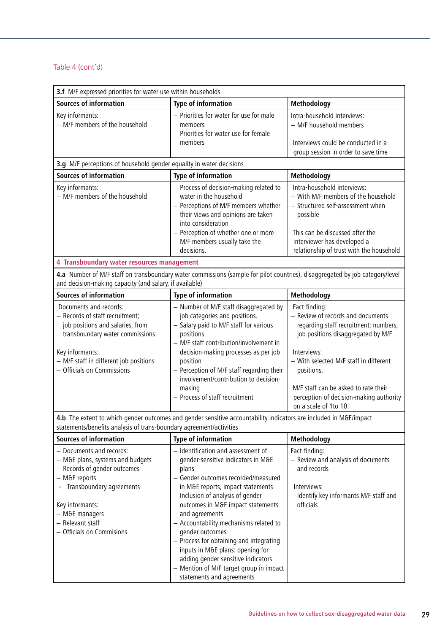| 3.f M/F expressed priorities for water use within households                                                                                                                                                                      |                                                                                                                                                                                                                                                                                                                                                                                                                                                                                                                     |                                                                                                                                                                                                                                                                                                                      |  |
|-----------------------------------------------------------------------------------------------------------------------------------------------------------------------------------------------------------------------------------|---------------------------------------------------------------------------------------------------------------------------------------------------------------------------------------------------------------------------------------------------------------------------------------------------------------------------------------------------------------------------------------------------------------------------------------------------------------------------------------------------------------------|----------------------------------------------------------------------------------------------------------------------------------------------------------------------------------------------------------------------------------------------------------------------------------------------------------------------|--|
| <b>Sources of information</b>                                                                                                                                                                                                     | Type of information                                                                                                                                                                                                                                                                                                                                                                                                                                                                                                 | Methodology                                                                                                                                                                                                                                                                                                          |  |
| Key informants:<br>- M/F members of the household                                                                                                                                                                                 | - Priorities for water for use for male<br>members<br>- Priorities for water use for female<br>members                                                                                                                                                                                                                                                                                                                                                                                                              | Intra-household interviews:<br>- M/F household members<br>Interviews could be conducted in a<br>group session in order to save time                                                                                                                                                                                  |  |
| 3.g M/F perceptions of household gender equality in water decisions                                                                                                                                                               |                                                                                                                                                                                                                                                                                                                                                                                                                                                                                                                     |                                                                                                                                                                                                                                                                                                                      |  |
| <b>Sources of information</b>                                                                                                                                                                                                     | Type of information                                                                                                                                                                                                                                                                                                                                                                                                                                                                                                 | Methodology                                                                                                                                                                                                                                                                                                          |  |
| Key informants:<br>- M/F members of the household                                                                                                                                                                                 | - Process of decision-making related to<br>water in the household<br>- Perceptions of M/F members whether<br>their views and opinions are taken<br>into consideration<br>- Perception of whether one or more<br>M/F members usually take the<br>decisions.                                                                                                                                                                                                                                                          | Intra-household interviews:<br>- With M/F members of the household<br>- Structured self-assessment when<br>possible<br>This can be discussed after the<br>interviewer has developed a<br>relationship of trust with the household                                                                                    |  |
| 4 Transboundary water resources management                                                                                                                                                                                        |                                                                                                                                                                                                                                                                                                                                                                                                                                                                                                                     |                                                                                                                                                                                                                                                                                                                      |  |
| and decision-making capacity (and salary, if available)                                                                                                                                                                           | 4.a Number of M/F staff on transboundary water commissions (sample for pilot countries), disaggregated by job category/level                                                                                                                                                                                                                                                                                                                                                                                        |                                                                                                                                                                                                                                                                                                                      |  |
| <b>Sources of information</b>                                                                                                                                                                                                     | Type of information                                                                                                                                                                                                                                                                                                                                                                                                                                                                                                 | Methodology                                                                                                                                                                                                                                                                                                          |  |
| Documents and records:<br>- Records of staff recruitment;<br>job positions and salaries, from<br>transboundary water commissions<br>Key informants:<br>- M/F staff in different job positions<br>- Officials on Commissions       | - Number of M/F staff disaggregated by<br>job categories and positions.<br>- Salary paid to M/F staff for various<br>positions<br>- M/F staff contribution/involvement in<br>decision-making processes as per job<br>position<br>- Perception of M/F staff regarding their<br>involvement/contribution to decision-<br>making<br>- Process of staff recruitment<br>4.b The extent to which gender outcomes and gender sensitive accountability indicators are included in M&E/impact                                | Fact-finding:<br>- Review of records and documents<br>regarding staff recruitment; numbers,<br>job positions disaggregated by M/F<br>Interviews:<br>- With selected M/F staff in different<br>positions.<br>M/F staff can be asked to rate their<br>perception of decision-making authority<br>on a scale of 1to 10. |  |
| statements/benefits analysis of trans-boundary agreement/activities                                                                                                                                                               |                                                                                                                                                                                                                                                                                                                                                                                                                                                                                                                     |                                                                                                                                                                                                                                                                                                                      |  |
| <b>Sources of information</b>                                                                                                                                                                                                     | Type of information                                                                                                                                                                                                                                                                                                                                                                                                                                                                                                 | Methodology                                                                                                                                                                                                                                                                                                          |  |
| - Documents and records:<br>- M&E plans, systems and budgets<br>- Records of gender outcomes<br>- M&E reports<br>- Transboundary agreements<br>Key informants:<br>- M&E managers<br>- Relevant staff<br>- Officials on Commisions | - Identification and assessment of<br>gender-sensitive indicators in M&E<br>plans<br>- Gender outcomes recorded/measured<br>in M&E reports, impact statements<br>- Inclusion of analysis of gender<br>outcomes in M&E impact statements<br>and agreements<br>- Accountability mechanisms related to<br>gender outcomes<br>- Process for obtaining and integrating<br>inputs in M&E plans: opening for<br>adding gender sensitive indicators<br>- Mention of M/F target group in impact<br>statements and agreements | Fact-finding:<br>- Review and analysis of documents<br>and records<br>Interviews:<br>- Identify key informants M/F staff and<br>officials                                                                                                                                                                            |  |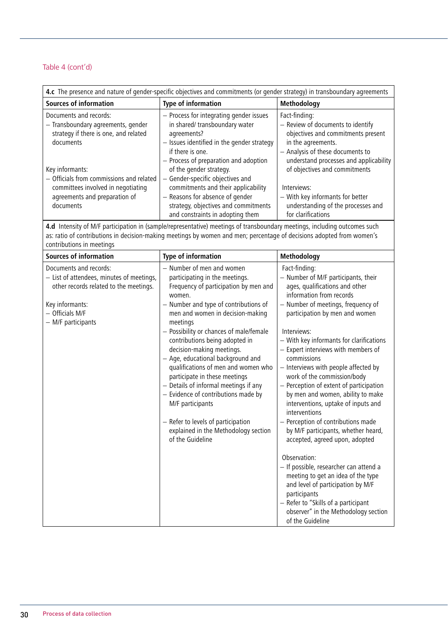| 4.c The presence and nature of gender-specific objectives and commitments (or gender strategy) in transboundary agreements                      |                                                                                                                                                                                                                   |                                                                                                                                                                                              |
|-------------------------------------------------------------------------------------------------------------------------------------------------|-------------------------------------------------------------------------------------------------------------------------------------------------------------------------------------------------------------------|----------------------------------------------------------------------------------------------------------------------------------------------------------------------------------------------|
| <b>Sources of information</b>                                                                                                                   | Type of information                                                                                                                                                                                               | Methodology                                                                                                                                                                                  |
| Documents and records:<br>- Transboundary agreements, gender<br>strategy if there is one, and related<br>documents                              | - Process for integrating gender issues<br>in shared/ transboundary water<br>agreements?<br>- Issues identified in the gender strategy<br>if there is one.<br>- Process of preparation and adoption               | Fact-finding:<br>- Review of documents to identify<br>objectives and commitments present<br>in the agreements.<br>- Analysis of these documents to<br>understand processes and applicability |
| Key informants:<br>- Officials from commissions and related<br>committees involved in negotiating<br>agreements and preparation of<br>documents | of the gender strategy.<br>- Gender-specific objectives and<br>commitments and their applicability<br>- Reasons for absence of gender<br>strategy, objectives and commitments<br>and constraints in adopting them | of objectives and commitments<br>Interviews:<br>- With key informants for better<br>understanding of the processes and<br>for clarifications                                                 |

**4.d** Intensity of M/F participation in (sample/representative) meetings of transboundary meetings, including outcomes such as: ratio of contributions in decision-making meetings by women and men; percentage of decisions adopted from women's contributions in meetings

| - Number of men and women<br>Documents and records:<br>Fact-finding:<br>- List of attendees, minutes of meetings,<br>participating in the meetings.<br>- Number of M/F participants, their<br>other records related to the meetings.<br>Frequency of participation by men and<br>ages, qualifications and other<br>information from records<br>women.<br>- Number of meetings, frequency of<br>- Number and type of contributions of<br>Key informants:<br>- Officials M/F<br>participation by men and women<br>men and women in decision-making<br>- M/F participants<br>meetings<br>- Possibility or chances of male/female<br>Interviews:<br>contributions being adopted in<br>- With key informants for clarifications<br>decision-making meetings.<br>- Expert interviews with members of<br>- Age, educational background and<br>commissions<br>qualifications of men and women who<br>- Interviews with people affected by<br>participate in these meetings<br>work of the commission/body<br>- Perception of extent of participation<br>- Details of informal meetings if any<br>- Evidence of contributions made by<br>by men and women, ability to make<br>M/F participants<br>interventions, uptake of inputs and<br>interventions<br>- Refer to levels of participation<br>- Perception of contributions made<br>explained in the Methodology section<br>by M/F participants, whether heard,<br>of the Guideline<br>accepted, agreed upon, adopted<br>Observation:<br>- If possible, researcher can attend a | <b>Sources of information</b> | Type of information | Methodology                                                                |
|--------------------------------------------------------------------------------------------------------------------------------------------------------------------------------------------------------------------------------------------------------------------------------------------------------------------------------------------------------------------------------------------------------------------------------------------------------------------------------------------------------------------------------------------------------------------------------------------------------------------------------------------------------------------------------------------------------------------------------------------------------------------------------------------------------------------------------------------------------------------------------------------------------------------------------------------------------------------------------------------------------------------------------------------------------------------------------------------------------------------------------------------------------------------------------------------------------------------------------------------------------------------------------------------------------------------------------------------------------------------------------------------------------------------------------------------------------------------------------------------------------------------------|-------------------------------|---------------------|----------------------------------------------------------------------------|
| and level of participation by M/F<br>participants<br>- Refer to "Skills of a participant<br>of the Guideline                                                                                                                                                                                                                                                                                                                                                                                                                                                                                                                                                                                                                                                                                                                                                                                                                                                                                                                                                                                                                                                                                                                                                                                                                                                                                                                                                                                                             |                               |                     | meeting to get an idea of the type<br>observer" in the Methodology section |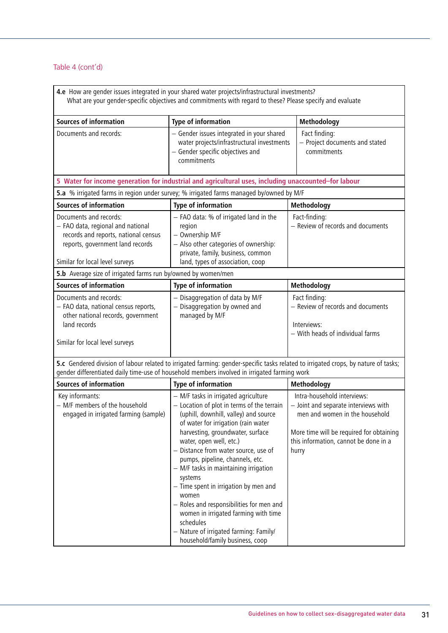| 4.e How are gender issues integrated in your shared water projects/infrastructural investments?<br>What are your gender-specific objectives and commitments with regard to these? Please specify and evaluate |                                                                                                                                                                                                                                                                                                                                                                                                                                                                                                                                                                                                  |                                                                                                                                                                                                     |  |
|---------------------------------------------------------------------------------------------------------------------------------------------------------------------------------------------------------------|--------------------------------------------------------------------------------------------------------------------------------------------------------------------------------------------------------------------------------------------------------------------------------------------------------------------------------------------------------------------------------------------------------------------------------------------------------------------------------------------------------------------------------------------------------------------------------------------------|-----------------------------------------------------------------------------------------------------------------------------------------------------------------------------------------------------|--|
| <b>Sources of information</b>                                                                                                                                                                                 | Type of information                                                                                                                                                                                                                                                                                                                                                                                                                                                                                                                                                                              | Methodology                                                                                                                                                                                         |  |
| Documents and records:                                                                                                                                                                                        | - Gender issues integrated in your shared<br>water projects/infrastructural investments<br>- Gender specific objectives and<br>commitments                                                                                                                                                                                                                                                                                                                                                                                                                                                       | Fact finding:<br>- Project documents and stated<br>commitments                                                                                                                                      |  |
|                                                                                                                                                                                                               | 5 Water for income generation for industrial and agricultural uses, including unaccounted-for labour                                                                                                                                                                                                                                                                                                                                                                                                                                                                                             |                                                                                                                                                                                                     |  |
|                                                                                                                                                                                                               | 5.a % irrigated farms in region under survey; % irrigated farms managed by/owned by M/F                                                                                                                                                                                                                                                                                                                                                                                                                                                                                                          |                                                                                                                                                                                                     |  |
| <b>Sources of information</b>                                                                                                                                                                                 | <b>Type of information</b>                                                                                                                                                                                                                                                                                                                                                                                                                                                                                                                                                                       | Methodology                                                                                                                                                                                         |  |
| Documents and records:<br>- FAO data, regional and national<br>records and reports, national census<br>reports, government land records<br>Similar for local level surveys                                    | - FAO data: % of irrigated land in the<br>region<br>- Ownership M/F<br>- Also other categories of ownership:<br>private, family, business, common<br>land, types of association, coop                                                                                                                                                                                                                                                                                                                                                                                                            | Fact-finding:<br>- Review of records and documents                                                                                                                                                  |  |
| 5.b Average size of irrigated farms run by/owned by women/men                                                                                                                                                 |                                                                                                                                                                                                                                                                                                                                                                                                                                                                                                                                                                                                  |                                                                                                                                                                                                     |  |
| <b>Sources of information</b>                                                                                                                                                                                 | <b>Type of information</b>                                                                                                                                                                                                                                                                                                                                                                                                                                                                                                                                                                       | Methodology                                                                                                                                                                                         |  |
| Documents and records:<br>- FAO data, national census reports,<br>other national records, government<br>land records<br>Similar for local level surveys                                                       | - Disaggregation of data by M/F<br>- Disaggregation by owned and<br>managed by M/F                                                                                                                                                                                                                                                                                                                                                                                                                                                                                                               | Fact finding:<br>- Review of records and documents<br>Interviews:<br>- With heads of individual farms                                                                                               |  |
|                                                                                                                                                                                                               | 5.c Gendered division of labour related to irrigated farming: gender-specific tasks related to irrigated crops, by nature of tasks;<br>gender differentiated daily time-use of household members involved in irrigated farming work                                                                                                                                                                                                                                                                                                                                                              |                                                                                                                                                                                                     |  |
| <b>Sources of information</b>                                                                                                                                                                                 | Type of information                                                                                                                                                                                                                                                                                                                                                                                                                                                                                                                                                                              | Methodology                                                                                                                                                                                         |  |
| Key informants:<br>- M/F members of the household<br>engaged in irrigated farming (sample)                                                                                                                    | - M/F tasks in irrigated agriculture<br>- Location of plot in terms of the terrain<br>(uphill, downhill, valley) and source<br>of water for irrigation (rain water<br>harvesting, groundwater, surface<br>water, open well, etc.)<br>- Distance from water source, use of<br>pumps, pipeline, channels, etc.<br>- M/F tasks in maintaining irrigation<br>systems<br>- Time spent in irrigation by men and<br>women<br>- Roles and responsibilities for men and<br>women in irrigated farming with time<br>schedules<br>- Nature of irrigated farming: Family/<br>household/family business, coop | Intra-household interviews:<br>- Joint and separate interviews with<br>men and women in the household<br>More time will be required for obtaining<br>this information, cannot be done in a<br>hurry |  |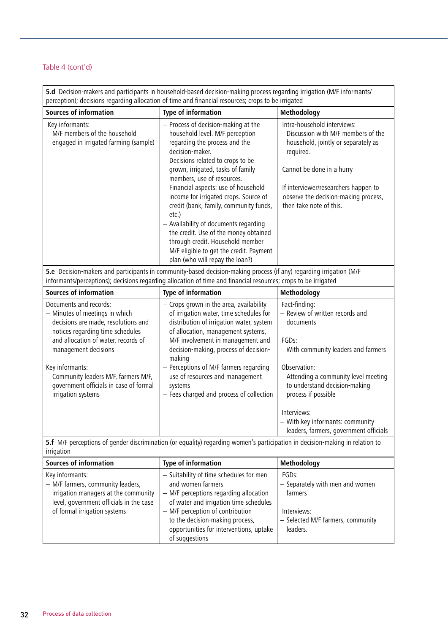**5.d** Decision-makers and participants in household-based decision-making process regarding irrigation (M/F informants/ perception); decisions regarding allocation of time and financial resources; crops to be irrigated

| <b>Sources of information</b>                                                                                                                                                                      | <b>Type of information</b>                                                                                                                                                                                                                                                                                                                                               | Methodology                                                                                                                                                                                                                                                     |
|----------------------------------------------------------------------------------------------------------------------------------------------------------------------------------------------------|--------------------------------------------------------------------------------------------------------------------------------------------------------------------------------------------------------------------------------------------------------------------------------------------------------------------------------------------------------------------------|-----------------------------------------------------------------------------------------------------------------------------------------------------------------------------------------------------------------------------------------------------------------|
| Key informants:<br>- M/F members of the household<br>engaged in irrigated farming (sample)                                                                                                         | - Process of decision-making at the<br>household level. M/F perception<br>regarding the process and the<br>decision-maker.<br>- Decisions related to crops to be<br>grown, irrigated, tasks of family<br>members, use of resources.<br>- Financial aspects: use of household<br>income for irrigated crops. Source of<br>credit (bank, family, community funds,<br>etc.) | Intra-household interviews:<br>- Discussion with M/F members of the<br>household, jointly or separately as<br>required.<br>Cannot be done in a hurry<br>If interviewer/researchers happen to<br>observe the decision-making process,<br>then take note of this. |
|                                                                                                                                                                                                    | - Availability of documents regarding<br>the credit. Use of the money obtained<br>through credit. Household member<br>M/F eligible to get the credit. Payment<br>plan (who will repay the loan?)                                                                                                                                                                         |                                                                                                                                                                                                                                                                 |
|                                                                                                                                                                                                    | 5.e Decision-makers and participants in community-based decision-making process (if any) regarding irrigation (M/F<br>informants/perceptions); decisions regarding allocation of time and financial resources; crops to be irrigated                                                                                                                                     |                                                                                                                                                                                                                                                                 |
| <b>Sources of information</b>                                                                                                                                                                      | <b>Type of information</b>                                                                                                                                                                                                                                                                                                                                               | Methodology                                                                                                                                                                                                                                                     |
| Documents and records:<br>- Minutes of meetings in which<br>decisions are made, resolutions and<br>notices regarding time schedules<br>and allocation of water, records of<br>management decisions | - Crops grown in the area, availability<br>of irrigation water, time schedules for<br>distribution of irrigation water, system<br>of allocation, management systems,<br>M/F involvement in management and<br>decision-making, process of decision-<br>making                                                                                                             | Fact-finding:<br>- Review of written records and<br>documents<br>FGDs:<br>- With community leaders and farmers                                                                                                                                                  |
| Key informants:<br>- Community leaders M/F, farmers M/F,<br>government officials in case of formal<br>irrigation systems                                                                           | - Perceptions of M/F farmers regarding<br>use of resources and management<br>systems<br>- Fees charged and process of collection                                                                                                                                                                                                                                         | Observation:<br>- Attending a community level meeting<br>to understand decision-making<br>process if possible<br>Interviews:<br>- With key informants: community<br>leaders, farmers, government officials                                                      |

**5.f** M/F perceptions of gender discrimination (or equality) regarding women's participation in decision-making in relation to | irrigation

| <b>Sources of information</b>                                                                                                                                           | Type of information                                                                                                                                                                                                                                                                  | Methodology                                                                                                         |
|-------------------------------------------------------------------------------------------------------------------------------------------------------------------------|--------------------------------------------------------------------------------------------------------------------------------------------------------------------------------------------------------------------------------------------------------------------------------------|---------------------------------------------------------------------------------------------------------------------|
| Key informants:<br>- M/F farmers, community leaders,<br>irrigation managers at the community<br>level, government officials in the case<br>of formal irrigation systems | - Suitability of time schedules for men<br>and women farmers<br>- M/F perceptions regarding allocation<br>of water and irrigation time schedules<br>- M/F perception of contribution<br>to the decision-making process,<br>opportunities for interventions, uptake<br>of suggestions | FGDs:<br>- Separately with men and women<br>farmers<br>Interviews:<br>- Selected M/F farmers, community<br>leaders. |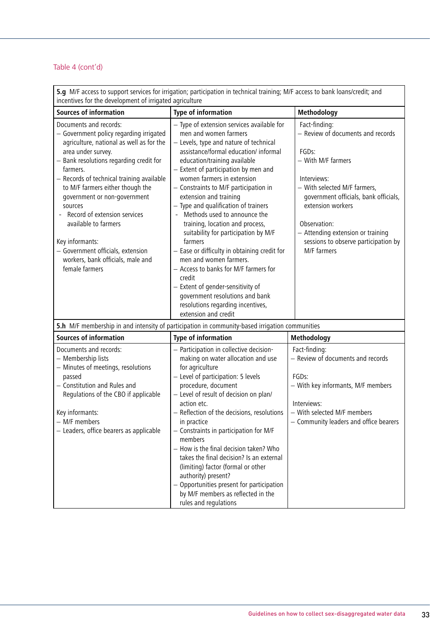**5.g** M/F access to support services for irrigation; participation in technical training; M/F access to bank loans/credit; and incentives for the development of irrigated agriculture

| <b>Sources of information</b>                                                                                                                                                                                                                                                                                                                                                                                                                                                                 | <b>Type of information</b>                                                                                                                                                                                                                                                                                                                                                                                                                                                                                                                                                                                                                                                                                                                                        | Methodology                                                                                                                                                                                                                                                                                                             |
|-----------------------------------------------------------------------------------------------------------------------------------------------------------------------------------------------------------------------------------------------------------------------------------------------------------------------------------------------------------------------------------------------------------------------------------------------------------------------------------------------|-------------------------------------------------------------------------------------------------------------------------------------------------------------------------------------------------------------------------------------------------------------------------------------------------------------------------------------------------------------------------------------------------------------------------------------------------------------------------------------------------------------------------------------------------------------------------------------------------------------------------------------------------------------------------------------------------------------------------------------------------------------------|-------------------------------------------------------------------------------------------------------------------------------------------------------------------------------------------------------------------------------------------------------------------------------------------------------------------------|
| Documents and records:<br>- Government policy regarding irrigated<br>agriculture, national as well as for the<br>area under survey.<br>- Bank resolutions regarding credit for<br>farmers.<br>- Records of technical training available<br>to M/F farmers either though the<br>government or non-government<br>sources<br>Record of extension services<br>available to farmers<br>Key informants:<br>- Government officials, extension<br>workers, bank officials, male and<br>female farmers | - Type of extension services available for<br>men and women farmers<br>- Levels, type and nature of technical<br>assistance/formal education/ informal<br>education/training available<br>- Extent of participation by men and<br>women farmers in extension<br>- Constraints to M/F participation in<br>extension and training<br>- Type and qualification of trainers<br>- Methods used to announce the<br>training, location and process,<br>suitability for participation by M/F<br>farmers<br>- Ease or difficulty in obtaining credit for<br>men and women farmers.<br>- Access to banks for M/F farmers for<br>credit<br>- Extent of gender-sensitivity of<br>government resolutions and bank<br>resolutions regarding incentives,<br>extension and credit | Fact-finding:<br>- Review of documents and records<br>FGD <sub>s</sub> :<br>- With M/F farmers<br>Interviews:<br>- With selected M/F farmers,<br>government officials, bank officials,<br>extension workers<br>Observation:<br>- Attending extension or training<br>sessions to observe participation by<br>M/F farmers |
|                                                                                                                                                                                                                                                                                                                                                                                                                                                                                               | 5.h M/F membership in and intensity of participation in community-based irrigation communities                                                                                                                                                                                                                                                                                                                                                                                                                                                                                                                                                                                                                                                                    |                                                                                                                                                                                                                                                                                                                         |
| <b>Sources of information</b>                                                                                                                                                                                                                                                                                                                                                                                                                                                                 | <b>Type of information</b>                                                                                                                                                                                                                                                                                                                                                                                                                                                                                                                                                                                                                                                                                                                                        | Methodology                                                                                                                                                                                                                                                                                                             |
| Documents and records:<br>- Membership lists<br>- Minutes of meetings, resolutions<br>passed<br>- Constitution and Rules and<br>Regulations of the CBO if applicable<br>Key informants:<br>- M/F members<br>- Leaders, office bearers as applicable                                                                                                                                                                                                                                           | - Participation in collective decision-<br>making on water allocation and use<br>for agriculture<br>- Level of participation: 5 levels<br>procedure, document<br>- Level of result of decision on plan/<br>action etc.<br>- Reflection of the decisions, resolutions<br>in practice<br>- Constraints in participation for M/F<br>members<br>- How is the final decision taken? Who<br>takes the final decision? Is an external<br>(limiting) factor (formal or other<br>authority) present?<br>- Opportunities present for participation<br>by M/F members as reflected in the<br>rules and regulations                                                                                                                                                           | Fact-finding:<br>- Review of documents and records<br>FGDs:<br>- With key informants, M/F members<br>Interviews:<br>- With selected M/F members<br>- Community leaders and office bearers                                                                                                                               |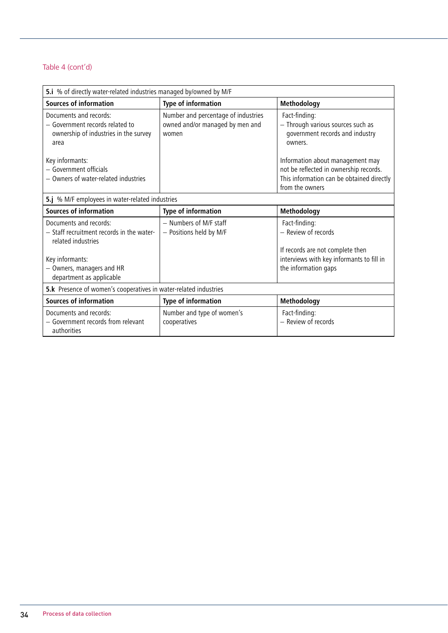| 5.i % of directly water-related industries managed by/owned by M/F                                         |                                                                                 |                                                                                                  |
|------------------------------------------------------------------------------------------------------------|---------------------------------------------------------------------------------|--------------------------------------------------------------------------------------------------|
| <b>Sources of information</b>                                                                              | Type of information                                                             | Methodology                                                                                      |
| Documents and records:<br>- Government records related to<br>ownership of industries in the survey<br>area | Number and percentage of industries<br>owned and/or managed by men and<br>women | Fact-finding:<br>- Through various sources such as<br>government records and industry<br>owners. |
| Key informants:<br>- Government officials                                                                  |                                                                                 | Information about management may<br>not be reflected in ownership records.                       |
| - Owners of water-related industries                                                                       |                                                                                 | This information can be obtained directly<br>from the owners                                     |
| 5.j % M/F employees in water-related industries                                                            |                                                                                 |                                                                                                  |
| <b>Sources of information</b>                                                                              | Type of information                                                             | Methodology                                                                                      |
| Documents and records:<br>- Staff recruitment records in the water-<br>related industries                  | - Numbers of M/F staff<br>- Positions held by M/F                               | Fact-finding:<br>- Review of records<br>If records are not complete then                         |
| Key informants:<br>- Owners, managers and HR<br>department as applicable                                   |                                                                                 | interviews with key informants to fill in<br>the information gaps                                |
| 5.k Presence of women's cooperatives in water-related industries                                           |                                                                                 |                                                                                                  |
| <b>Sources of information</b>                                                                              | <b>Type of information</b>                                                      | Methodology                                                                                      |
| Documents and records:<br>- Government records from relevant<br>authorities                                | Number and type of women's<br>cooperatives                                      | Fact-finding:<br>- Review of records                                                             |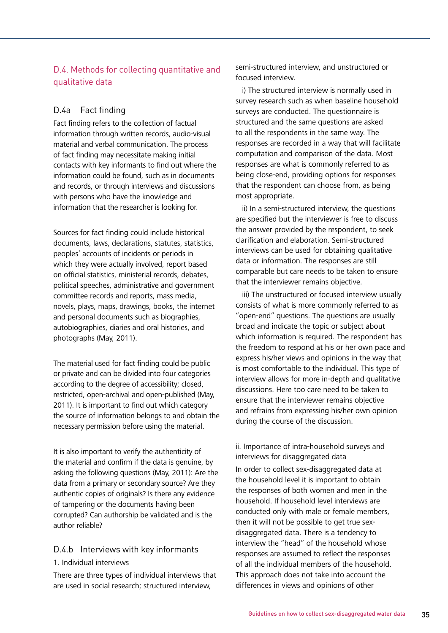## D.4. Methods for collecting quantitative and qualitative data

## D.4a Fact finding

Fact finding refers to the collection of factual information through written records, audio-visual material and verbal communication. The process of fact finding may necessitate making initial contacts with key informants to find out where the information could be found, such as in documents and records, or through interviews and discussions with persons who have the knowledge and information that the researcher is looking for.

Sources for fact finding could include historical documents, laws, declarations, statutes, statistics, peoples' accounts of incidents or periods in which they were actually involved, report based on official statistics, ministerial records, debates, political speeches, administrative and government committee records and reports, mass media, novels, plays, maps, drawings, books, the internet and personal documents such as biographies, autobiographies, diaries and oral histories, and photographs (May, 2011).

The material used for fact finding could be public or private and can be divided into four categories according to the degree of accessibility; closed, restricted, open-archival and open-published (May, 2011). It is important to find out which category the source of information belongs to and obtain the necessary permission before using the material.

It is also important to verify the authenticity of the material and confirm if the data is genuine, by asking the following questions (May, 2011): Are the data from a primary or secondary source? Are they authentic copies of originals? Is there any evidence of tampering or the documents having been corrupted? Can authorship be validated and is the author reliable?

## D.4.b Interviews with key informants

### 1. Individual interviews

There are three types of individual interviews that are used in social research; structured interview,

semi-structured interview, and unstructured or focused interview.

 i) The structured interview is normally used in survey research such as when baseline household surveys are conducted. The questionnaire is structured and the same questions are asked to all the respondents in the same way. The responses are recorded in a way that will facilitate computation and comparison of the data. Most responses are what is commonly referred to as being close-end, providing options for responses that the respondent can choose from, as being most appropriate.

 ii) In a semi-structured interview, the questions are specified but the interviewer is free to discuss the answer provided by the respondent, to seek clarification and elaboration. Semi-structured interviews can be used for obtaining qualitative data or information. The responses are still comparable but care needs to be taken to ensure that the interviewer remains objective.

 iii) The unstructured or focused interview usually consists of what is more commonly referred to as "open-end" questions. The questions are usually broad and indicate the topic or subject about which information is required. The respondent has the freedom to respond at his or her own pace and express his/her views and opinions in the way that is most comfortable to the individual. This type of interview allows for more in-depth and qualitative discussions. Here too care need to be taken to ensure that the interviewer remains objective and refrains from expressing his/her own opinion during the course of the discussion.

ii. Importance of intra-household surveys and interviews for disaggregated data

In order to collect sex-disaggregated data at the household level it is important to obtain the responses of both women and men in the household. If household level interviews are conducted only with male or female members, then it will not be possible to get true sexdisaggregated data. There is a tendency to interview the "head" of the household whose responses are assumed to reflect the responses of all the individual members of the household. This approach does not take into account the differences in views and opinions of other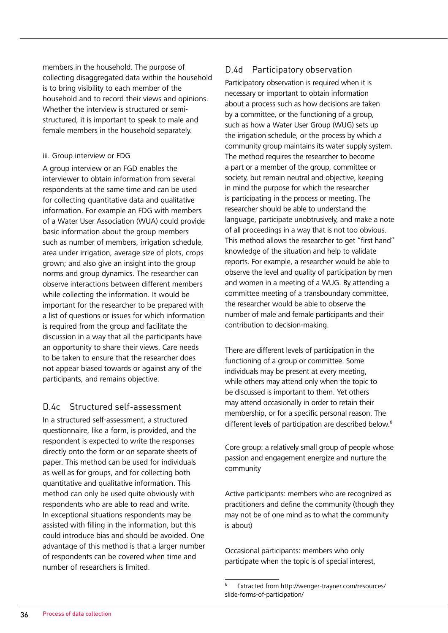members in the household. The purpose of collecting disaggregated data within the household is to bring visibility to each member of the household and to record their views and opinions. Whether the interview is structured or semistructured, it is important to speak to male and female members in the household separately.

#### iii. Group interview or FDG

A group interview or an FGD enables the interviewer to obtain information from several respondents at the same time and can be used for collecting quantitative data and qualitative information. For example an FDG with members of a Water User Association (WUA) could provide basic information about the group members such as number of members, irrigation schedule, area under irrigation, average size of plots, crops grown; and also give an insight into the group norms and group dynamics. The researcher can observe interactions between different members while collecting the information. It would be important for the researcher to be prepared with a list of questions or issues for which information is required from the group and facilitate the discussion in a way that all the participants have an opportunity to share their views. Care needs to be taken to ensure that the researcher does not appear biased towards or against any of the participants, and remains objective.

### D.4c Structured self-assessment

In a structured self-assessment, a structured questionnaire, like a form, is provided, and the respondent is expected to write the responses directly onto the form or on separate sheets of paper. This method can be used for individuals as well as for groups, and for collecting both quantitative and qualitative information. This method can only be used quite obviously with respondents who are able to read and write. In exceptional situations respondents may be assisted with filling in the information, but this could introduce bias and should be avoided. One advantage of this method is that a larger number of respondents can be covered when time and number of researchers is limited.

## D.4d Participatory observation

Participatory observation is required when it is necessary or important to obtain information about a process such as how decisions are taken by a committee, or the functioning of a group, such as how a Water User Group (WUG) sets up the irrigation schedule, or the process by which a community group maintains its water supply system. The method requires the researcher to become a part or a member of the group, committee or society, but remain neutral and objective, keeping in mind the purpose for which the researcher is participating in the process or meeting. The researcher should be able to understand the language, participate unobtrusively, and make a note of all proceedings in a way that is not too obvious. This method allows the researcher to get "first hand" knowledge of the situation and help to validate reports. For example, a researcher would be able to observe the level and quality of participation by men and women in a meeting of a WUG. By attending a committee meeting of a transboundary committee, the researcher would be able to observe the number of male and female participants and their contribution to decision-making.

There are different levels of participation in the functioning of a group or committee. Some individuals may be present at every meeting, while others may attend only when the topic to be discussed is important to them. Yet others may attend occasionally in order to retain their membership, or for a specific personal reason. The different levels of participation are described below.<sup>6</sup>

Core group: a relatively small group of people whose passion and engagement energize and nurture the community

Active participants: members who are recognized as practitioners and define the community (though they may not be of one mind as to what the community is about)

Occasional participants: members who only participate when the topic is of special interest,

<sup>6</sup> Extracted from<http://wenger-trayner.com/resources/> slide-forms-of-participation/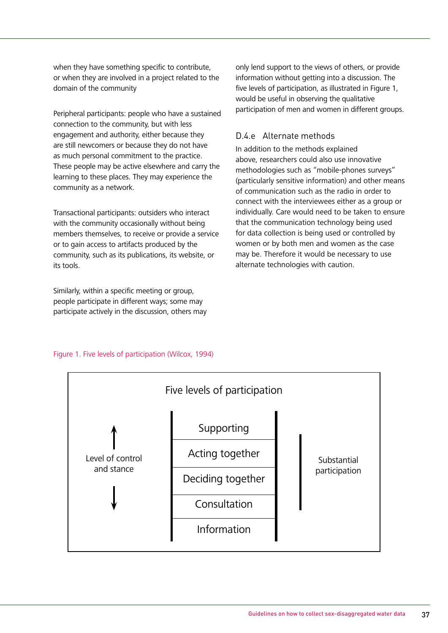when they have something specific to contribute. or when they are involved in a project related to the domain of the community

Peripheral participants: people who have a sustained connection to the community, but with less engagement and authority, either because they are still newcomers or because they do not have as much personal commitment to the practice. These people may be active elsewhere and carry the learning to these places. They may experience the community as a network.

Transactional participants: outsiders who interact with the community occasionally without being members themselves, to receive or provide a service or to gain access to artifacts produced by the community, such as its publications, its website, or its tools.

Similarly, within a specific meeting or group, people participate in different ways; some may participate actively in the discussion, others may only lend support to the views of others, or provide information without getting into a discussion. The five levels of participation, as illustrated in Figure 1. would be useful in observing the qualitative participation of men and women in different groups.

## D.4.e Alternate methods

In addition to the methods explained above, researchers could also use innovative methodologies such as "mobile-phones surveys" (particularly sensitive information) and other means of communication such as the radio in order to connect with the interviewees either as a group or individually. Care would need to be taken to ensure that the communication technology being used for data collection is being used or controlled by women or by both men and women as the case may be. Therefore it would be necessary to use alternate technologies with caution.



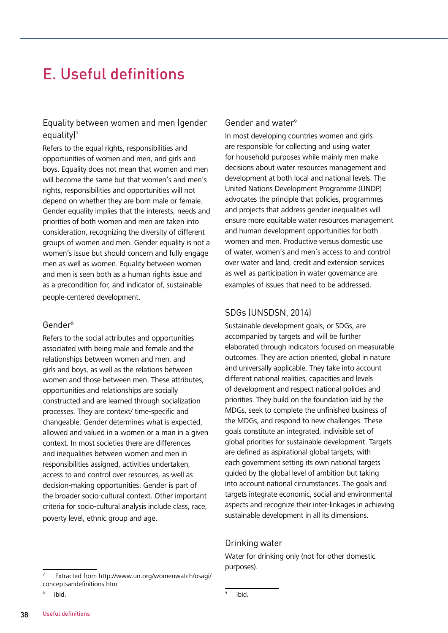## E. Useful definitions

## Equality between women and men (gender equality)<sup>7</sup>

Refers to the equal rights, responsibilities and opportunities of women and men, and girls and boys. Equality does not mean that women and men will become the same but that women's and men's rights, responsibilities and opportunities will not depend on whether they are born male or female. Gender equality implies that the interests, needs and priorities of both women and men are taken into consideration, recognizing the diversity of different groups of women and men. Gender equality is not a women's issue but should concern and fully engage men as well as women. Equality between women and men is seen both as a human rights issue and as a precondition for, and indicator of, sustainable people-centered development.

#### Gender<sup>8</sup>

Refers to the social attributes and opportunities associated with being male and female and the relationships between women and men, and girls and boys, as well as the relations between women and those between men. These attributes, opportunities and relationships are socially constructed and are learned through socialization processes. They are context/ time-specific and changeable. Gender determines what is expected, allowed and valued in a women or a man in a given context. In most societies there are differences and inequalities between women and men in responsibilities assigned, activities undertaken, access to and control over resources, as well as decision-making opportunities. Gender is part of the broader socio-cultural context. Other important criteria for socio-cultural analysis include class, race, poverty level, ethnic group and age.

#### 7 Extracted from<http://www.un.org/womenwatch/osagi/> conceptsandefinitions.htm

#### 8 Ibid.

### Gender and water<sup>9</sup>

In most developing countries women and girls are responsible for collecting and using water for household purposes while mainly men make decisions about water resources management and development at both local and national levels. The United Nations Development Programme (UNDP) advocates the principle that policies, programmes and projects that address gender inequalities will ensure more equitable water resources management and human development opportunities for both women and men. Productive versus domestic use of water, women's and men's access to and control over water and land, credit and extension services as well as participation in water governance are examples of issues that need to be addressed.

### SDGs (UNSDSN, 2014)

Sustainable development goals, or SDGs, are accompanied by targets and will be further elaborated through indicators focused on measurable outcomes. They are action oriented, global in nature and universally applicable. They take into account different national realities, capacities and levels of development and respect national policies and priorities. They build on the foundation laid by the MDGs, seek to complete the unfinished business of the MDGs, and respond to new challenges. These goals constitute an integrated, indivisible set of global priorities for sustainable development. Targets are defined as aspirational global targets, with each government setting its own national targets guided by the global level of ambition but taking into account national circumstances. The goals and targets integrate economic, social and environmental aspects and recognize their inter-linkages in achieving sustainable development in all its dimensions.

### Drinking water

Water for drinking only (not for other domestic purposes).

9

Ibid.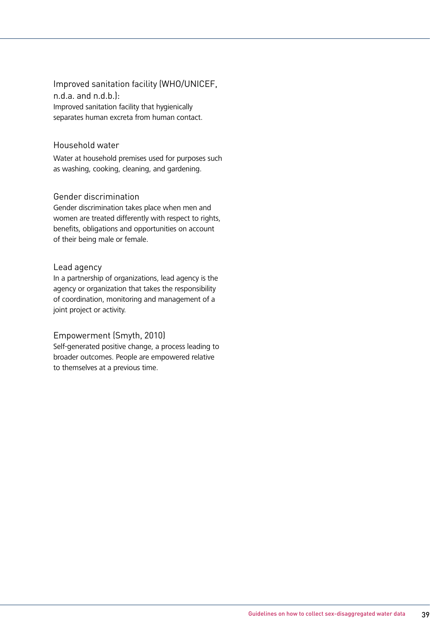Improved sanitation facility (WHO/UNICEF, n.d.a. and n.d.b.): Improved sanitation facility that hygienically separates human excreta from human contact.

### Household water

Water at household premises used for purposes such as washing, cooking, cleaning, and gardening.

### Gender discrimination

Gender discrimination takes place when men and women are treated differently with respect to rights, benefits, obligations and opportunities on account of their being male or female.

#### Lead agency

In a partnership of organizations, lead agency is the agency or organization that takes the responsibility of coordination, monitoring and management of a joint project or activity.

### Empowerment (Smyth, 2010)

Self-generated positive change, a process leading to broader outcomes. People are empowered relative to themselves at a previous time.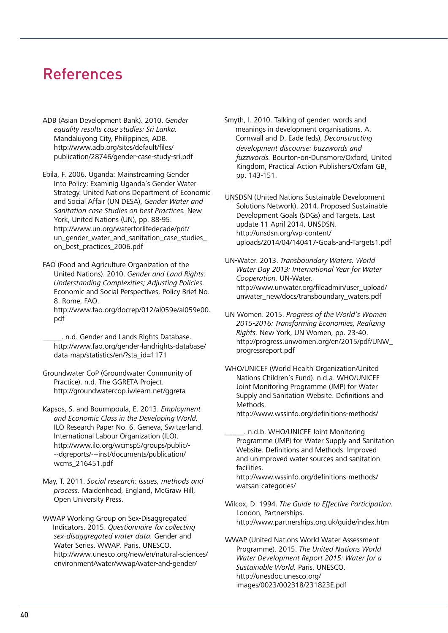## References

- ADB (Asian Development Bank). 2010. *Gender equality results case studies: Sri Lanka.* Mandaluyong City, Philippines, ADB. <http://www.adb.org/sites/default/files/> publication/28746/gender-case-study-sri.pdf
- Ebila, F. 2006. Uganda: Mainstreaming Gender Into Policy: Examinig Uganda's Gender Water Strategy. United Nations Department of Economic and Social Affair (UN DESA), *Gender Water and Sanitation case Studies on best Practices.* New York, United Nations (UN), pp. 88-95. <http://www.un.org/waterforlifedecade/pdf/> un gender water and sanitation case studies on\_best\_practices\_2006.pdf
- FAO (Food and Agriculture Organization of the United Nations). 2010. *Gender and Land Rights: Understanding Complexities; Adjusting Policies.*  Economic and Social Perspectives, Policy Brief No. 8. Rome, FAO. [http://www.fao.org/docrep/012/al059e/al059e00.](http://www.fao.org/docrep/012/al059e/al059e00) pdf
	- \_\_\_\_\_. n.d. Gender and Lands Rights Database. <http://www.fao.org/gender-landrights-database/> data-map/statistics/en/?sta\_id=1171
- Groundwater CoP (Groundwater Community of Practice). n.d. The GGRETA Project. <http://groundwatercop.iwlearn.net/ggreta>
- Kapsos, S. and Bourmpoula, E. 2013. *Employment and Economic Class in the Developing World.* ILO Research Paper No. 6. Geneva, Switzerland. International Labour Organization (ILO). [http://www.ilo.org/wcmsp5/groups/public/-](http://www.ilo.org/wcmsp5/groups/public/---dgreports/---inst/documents/publication/) [--dgreports/---inst/documents/publication/](http://www.ilo.org/wcmsp5/groups/public/---dgreports/---inst/documents/publication/) wcms\_216451.pdf
- May, T. 2011. *Social research: issues, methods and process.* Maidenhead, England, McGraw Hill, Open University Press.
- WWAP Working Group on Sex-Disaggregated Indicators. 2015. *Questionnaire* for collecting *sex-disaggregated water data.* Gender and Water Series. WWAP. Paris, UNESCO. <http://www.unesco.org/new/en/natural-sciences/> environment/water/wwap/water-and-gender/

Smyth, I. 2010. Talking of gender: words and meanings in development organisations. A. Cornwall and D. Eade (eds), *Deconstructing development discourse: buzzwords and fuzzwords.* Bourton-on-Dunsmore/Oxford, United Kingdom, Practical Action Publishers/Oxfam GB, pp. 143-151.

UNSDSN (United Nations Sustainable Development Solutions Network). 2014. Proposed Sustainable Development Goals (SDGs) and Targets. Last update 11 April 2014. UNSDSN. <http://unsdsn.org/wp-content/> uploads/2014/04/140417-Goals-and-Targets1.pdf

- UN-Water. 2013. *Transboundary Waters. World Water Day 2013: International Year for Water Cooperation.* UN-Water. [http://www.unwater.org/fileadmin/user\\_upload/](http://www.unwater.org/fileadmin/user_upload/) unwater\_new/docs/transboundary\_waters.pdf
- UN Women. 2015. *Progress of the World's Women 2015-2016: Transforming Economies, Realizing Rights.* New York, UN Women, pp. 23-40. [http://progress.unwomen.org/en/2015/pdf/UNW\\_](http://progress.unwomen.org/en/2015/pdf/UNW_) progressreport.pdf
- WHO/UNICEF (World Health Organization/United Nations Children's Fund). n.d.a. WHO/UNICEF Joint Monitoring Programme (JMP) for Water Supply and Sanitation Website. Definitions and Methods.
	- <http://www.wssinfo.org/definitions-methods/>
	- \_\_\_\_\_. n.d.b. WHO/UNICEF Joint Monitoring Programme (JMP) for Water Supply and Sanitation Website. Definitions and Methods. Improved and unimproved water sources and sanitation facilities.

 <http://www.wssinfo.org/definitions-methods/> watsan-categories/

- Wilcox, D. 1994. *The Guide to Effective Participation.* London, Partnerships. <http://www.partnerships.org.uk/guide/index.htm>
- WWAP (United Nations World Water Assessment Programme). 2015. *The United Nations World Water Development Report 2015: Water for a Sustainable World.* Paris, UNESCO. <http://unesdoc.unesco.org/> images/0023/002318/231823E.pdf